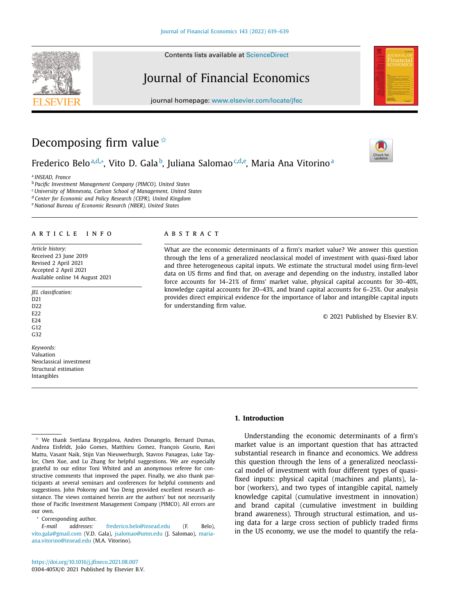Contents lists available at [ScienceDirect](http://www.ScienceDirect.com)

# Journal of Financial Economics

journal homepage: [www.elsevier.com/locate/jfec](http://www.elsevier.com/locate/jfec)

# Decomposing firm value  $\dot{\alpha}$

Frederico Beloª,<sup>d,</sup>\*, Vito D. Gala<sup>b</sup>, Juliana Salomao<sup>,,d,e</sup>, Maria Ana Vitorinoª

<sup>a</sup> *INSEAD, France*

<sup>b</sup> *Pacific Investment Management Company (PIMCO), United States*

<sup>c</sup> *University of Minnesota, Carlson School of Management, United States*

<sup>d</sup> *Center for Economic and Policy Research (CEPR), United Kingdom*

<sup>e</sup> *National Bureau of Economic Research (NBER), United States*

# a r t i c l e i n f o

*Article history:* Received 23 June 2019 Revised 2 April 2021 Accepted 2 April 2021 Available online 14 August 2021

*JEL classification:*

D21 D22 E<sub>22</sub> E24  $G12$ 

G<sub>32</sub>

our own.

Corresponding author.

*Keywords:* Valuation Neoclassical investment Structural estimation Intangibles

# a b s t r a c t

What are the economic determinants of a firm's market value? We answer this question through the lens of a generalized neoclassical model of investment with quasi-fixed labor and three heterogeneous capital inputs. We estimate the structural model using firm-level data on US firms and find that, on average and depending on the industry, installed labor force accounts for 14–21% of firms' market value, physical capital accounts for 30–40%, knowledge capital accounts for 20–43%, and brand capital accounts for 6–25%. Our analysis provides direct empirical evidence for the importance of labor and intangible capital inputs for understanding firm value.

© 2021 Published by Elsevier B.V.

# **1. Introduction**

Understanding the economic determinants of a firm's market value is an important question that has attracted substantial research in finance and economics. We address this question through the lens of a generalized neoclassical model of investment with four different types of quasifixed inputs: physical capital (machines and plants), labor (workers), and two types of intangible capital, namely knowledge capital (cumulative investment in innovation) and brand capital (cumulative investment in building brand awareness). Through structural estimation, and using data for a large cross section of publicly traded firms in the US economy, we use the model to quantify the rela-

[ana.vitorino@insead.edu](mailto:maria-ana.vitorino@insead.edu) (M.A. Vitorino).

✩ We thank Svetlana Bryzgalova, Andres Donangelo, Bernard Dumas, Andrea Eisfeldt, João Gomes, Matthieu Gomez, François Gourio, Ravi Mattu, Vasant Naik, Stijn Van Nieuwerburgh, Stavros Panageas, Luke Taylor, Chen Xue, and Lu Zhang for helpful suggestions. We are especially grateful to our editor Toni Whited and an anonymous referee for constructive comments that improved the paper. Finally, we also thank participants at several seminars and conferences for helpful comments and suggestions. John Pokorny and Yao Deng provided excellent research assistance. The views contained herein are the authors' but not necessarily those of Pacific Investment Management Company (PIMCO). All errors are

*E-mail addresses:* [frederico.belo@insead.edu](mailto:frederico.belo@insead.edu) (F. Belo), [vito.gala@gmail.com](mailto:vito.gala@gmail.com) (V.D. Gala), [jsalomao@umn.edu](mailto:jsalomao@umn.edu) (J. Salomao), maria-





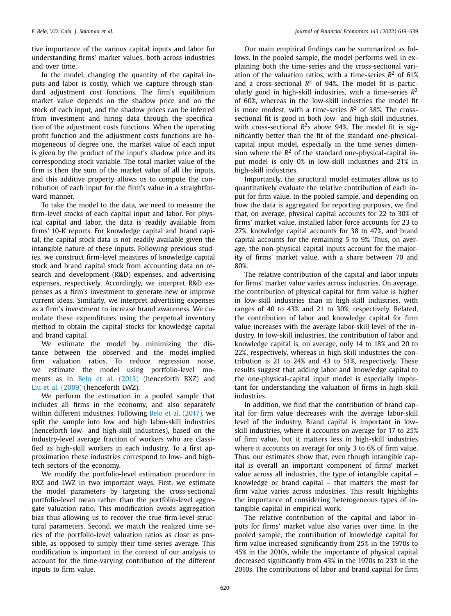tive importance of the various capital inputs and labor for understanding firms' market values, both across industries and over time.

In the model, changing the quantity of the capital inputs and labor is costly, which we capture through standard adjustment cost functions. The firm's equilibrium market value depends on the shadow price and on the stock of each input, and the shadow prices can be inferred from investment and hiring data through the specification of the adjustment costs functions. When the operating profit function and the adjustment costs functions are homogeneous of degree one, the market value of each input is given by the product of the input's shadow price and its corresponding stock variable. The total market value of the firm is then the sum of the market value of all the inputs, and this additive property allows us to compute the contribution of each input for the firm's value in a straightforward manner.

To take the model to the data, we need to measure the firm-level stocks of each capital input and labor. For physical capital and labor, the data is readily available from firms' 10-K reports. For knowledge capital and brand capital, the capital stock data is not readily available given the intangible nature of these inputs. Following previous studies, we construct firm-level measures of knowledge capital stock and brand capital stock from accounting data on research and development (R&D) expenses, and advertising expenses, respectively. Accordingly, we interpret R&D expenses as a firm's investment to generate new or improve current ideas. Similarly, we interpret advertising expenses as a firm's investment to increase brand awareness. We cumulate these expenditures using the perpetual inventory method to obtain the capital stocks for knowledge capital and brand capital.

We estimate the model by minimizing the distance between the observed and the model-implied firm valuation ratios. To reduce regression noise, we estimate the model using portfolio-level moments as in Belo et al. [\(2013\)](#page-20-0) (henceforth BXZ) and Liu et al. [\(2009\)](#page-20-0) (henceforth LWZ).

We perform the estimation in a pooled sample that includes all firms in the economy, and also separately within different industries. Following Belo et al. [\(2017\),](#page-20-0) we split the sample into low and high labor-skill industries (henceforth low- and high-skill industries), based on the industry-level average fraction of workers who are classified as high-skill workers in each industry. To a first approximation these industries correspond to low- and hightech sectors of the economy.

We modify the portfolio-level estimation procedure in BXZ and LWZ in two important ways. First, we estimate the model parameters by targeting the cross-sectional portfolio-level mean rather than the portfolio-level aggregate valuation ratio. This modification avoids aggregation bias thus allowing us to recover the true firm-level structural parameters. Second, we match the realized time series of the portfolio-level valuation ratios as close as possible, as opposed to simply their time-series average. This modification is important in the context of our analysis to account for the time-varying contribution of the different inputs to firm value.

Our main empirical findings can be summarized as follows. In the pooled sample, the model performs well in explaining both the time-series and the cross-sectional variation of the valuation ratios, with a time-series  $R^2$  of 61% and a cross-sectional  $R^2$  of 94%. The model fit is particularly good in high-skill industries, with a time-series *R*<sup>2</sup> of 60%, whereas in the low-skill industries the model fit is more modest, with a time-series  $R^2$  of 38%. The crosssectional fit is good in both low- and high-skill industries, with cross-sectional  $R^2$ *s* above 94%. The model fit is significantly better than the fit of the standard one-physicalcapital input model, especially in the time series dimension where the  $R^2$  of the standard one-physical-capital input model is only 0% in low-skill industries and 21% in high-skill industries.

Importantly, the structural model estimates allow us to quantitatively evaluate the relative contribution of each input for firm value. In the pooled sample, and depending on how the data is aggregated for reporting purposes, we find that, on average, physical capital accounts for 22 to 30% of firms' market value, installed labor force accounts for 23 to 27%, knowledge capital accounts for 38 to 47%, and brand capital accounts for the remaining 5 to 9%. Thus, on average, the non-physical capital inputs account for the majority of firms' market value, with a share between 70 and 80%.

The relative contribution of the capital and labor inputs for firms' market value varies across industries. On average, the contribution of physical capital for firm value is higher in low-skill industries than in high-skill industries, with ranges of 40 to 43% and 21 to 30%, respectively. Related, the contribution of labor and knowledge capital for firm value increases with the average labor-skill level of the industry. In low-skill industries, the contribution of labor and knowledge capital is, on average, only 14 to 18% and 20 to 22%, respectively, whereas in high-skill industries the contribution is 21 to 24% and 43 to 51%, respectively. These results suggest that adding labor and knowledge capital to the one-physical-capital input model is especially important for understanding the valuation of firms in high-skill industries.

In addition, we find that the contribution of brand capital for firm value decreases with the average labor-skill level of the industry. Brand capital is important in lowskill industries, where it accounts on average for 17 to 25% of firm value, but it matters less in high-skill industries where it accounts on average for only 3 to 6% of firm value. Thus, our estimates show that, even though intangible capital is overall an important component of firms' market value across all industries, the type of intangible capital – knowledge or brand capital – that matters the most for firm value varies across industries. This result highlights the importance of considering heterogeneous types of intangible capital in empirical work.

The relative contribution of the capital and labor inputs for firms' market value also varies over time. In the pooled sample, the contribution of knowledge capital for firm value increased significantly from 25% in the 1970s to 45% in the 2010s, while the importance of physical capital decreased significantly from 43% in the 1970s to 23% in the 2010s. The contributions of labor and brand capital for firm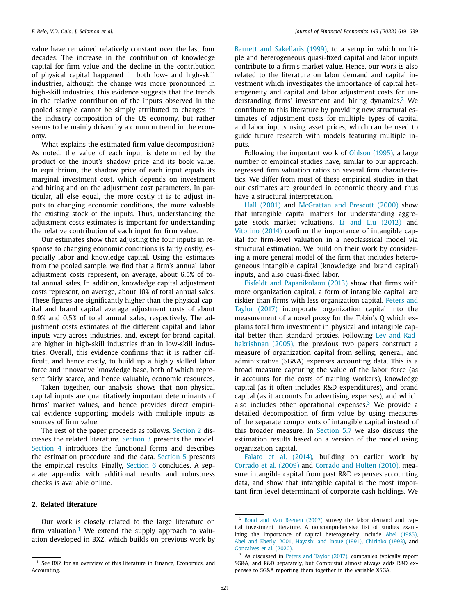value have remained relatively constant over the last four decades. The increase in the contribution of knowledge capital for firm value and the decline in the contribution of physical capital happened in both low- and high-skill industries, although the change was more pronounced in high-skill industries. This evidence suggests that the trends in the relative contribution of the inputs observed in the pooled sample cannot be simply attributed to changes in the industry composition of the US economy, but rather seems to be mainly driven by a common trend in the economy.

What explains the estimated firm value decomposition? As noted, the value of each input is determined by the product of the input's shadow price and its book value. In equilibrium, the shadow price of each input equals its marginal investment cost, which depends on investment and hiring and on the adjustment cost parameters. In particular, all else equal, the more costly it is to adjust inputs to changing economic conditions, the more valuable the existing stock of the inputs. Thus, understanding the adjustment costs estimates is important for understanding the relative contribution of each input for firm value.

Our estimates show that adjusting the four inputs in response to changing economic conditions is fairly costly, especially labor and knowledge capital. Using the estimates from the pooled sample, we find that a firm's annual labor adjustment costs represent, on average, about 6.5% of total annual sales. In addition, knowledge capital adjustment costs represent, on average, about 10% of total annual sales. These figures are significantly higher than the physical capital and brand capital average adjustment costs of about 0.9% and 0.5% of total annual sales, respectively. The adjustment costs estimates of the different capital and labor inputs vary across industries, and, except for brand capital, are higher in high-skill industries than in low-skill industries. Overall, this evidence confirms that it is rather difficult, and hence costly, to build up a highly skilled labor force and innovative knowledge base, both of which represent fairly scarce, and hence valuable, economic resources.

Taken together, our analysis shows that non-physical capital inputs are quantitatively important determinants of firms' market values, and hence provides direct empirical evidence supporting models with multiple inputs as sources of firm value.

The rest of the paper proceeds as follows. Section 2 discusses the related literature. [Section](#page-3-0) 3 presents the model. [Section](#page-4-0) 4 introduces the functional forms and describes the estimation procedure and the data. [Section](#page-8-0) 5 presents the empirical results. Finally, [Section](#page-17-0) 6 concludes. A separate appendix with additional results and robustness checks is available online.

# **2. Related literature**

Our work is closely related to the large literature on firm valuation.<sup>1</sup> We extend the supply approach to valuation developed in BXZ, which builds on previous work by Barnett and [Sakellaris](#page-20-0) (1999), to a setup in which multiple and heterogeneous quasi-fixed capital and labor inputs contribute to a firm's market value. Hence, our work is also related to the literature on labor demand and capital investment which investigates the importance of capital heterogeneity and capital and labor adjustment costs for understanding firms' investment and hiring dynamics.<sup>2</sup> We contribute to this literature by providing new structural estimates of adjustment costs for multiple types of capital and labor inputs using asset prices, which can be used to guide future research with models featuring multiple inputs.

Following the important work of [Ohlson](#page-20-0) (1995), a large number of empirical studies have, similar to our approach, regressed firm valuation ratios on several firm characteristics. We differ from most of these empirical studies in that our estimates are grounded in economic theory and thus have a structural interpretation.

Hall [\(2001\)](#page-20-0) and [McGrattan](#page-20-0) and Prescott (2000) show that intangible capital matters for understanding aggregate stock market valuations. Li and Liu [\(2012\)](#page-20-0) and [Vitorino](#page-20-0) (2014) confirm the importance of intangible capital for firm-level valuation in a neoclasssical model via structural estimation. We build on their work by considering a more general model of the firm that includes heterogeneous intangible capital (knowledge and brand capital) inputs, and also quasi-fixed labor.

Eisfeldt and [Papanikolaou](#page-20-0) (2013) show that firms with more organization capital, a form of intangible capital, are riskier than firms with less [organization](#page-20-0) capital. Peters and Taylor (2017) incorporate organization capital into the measurement of a novel proxy for the Tobin's Q which explains total firm investment in physical and intangible capital better than standard proxies. Following Lev and Rad[hakrishnan](#page-20-0) (2005), the previous two papers construct a measure of organization capital from selling, general, and administrative (SG&A) expenses accounting data. This is a broad measure capturing the value of the labor force (as it accounts for the costs of training workers), knowledge capital (as it often includes R&D expenditures), and brand capital (as it accounts for advertising expenses), and which also includes other operational expenses. $3$  We provide a detailed decomposition of firm value by using measures of the separate components of intangible capital instead of this broader measure. In [Section](#page-16-0) 5.7 we also discuss the estimation results based on a version of the model using organization capital.

Falato et al. [\(2014\),](#page-20-0) building on earlier work by [Corrado](#page-20-0) et al. (2009) and [Corrado](#page-20-0) and Hulten (2010), measure intangible capital from past R&D expenses accounting data, and show that intangible capital is the most important firm-level determinant of corporate cash holdings. We

<sup>&</sup>lt;sup>1</sup> See BXZ for an overview of this literature in Finance, Economics, and Accounting.

<sup>2</sup> Bond and Van [Reenen](#page-20-0) (2007) survey the labor demand and capital investment literature. A noncomprehensive list of studies examining the importance of capital heterogeneity include Abel [\(1985\),](#page-20-0) Abel and [Eberly,](#page-20-0) 2001, [Hayashi](#page-20-0) and Inoue (1991), [Chirinko](#page-20-0) (1993), and [Gonçalves](#page-20-0) et al. (2020).

<sup>&</sup>lt;sup>3</sup> As discussed in Peters and Taylor [\(2017\),](#page-20-0) companies typically report SG&A, and R&D separately, but Compustat almost always adds R&D expenses to SG&A reporting them together in the variable XSGA.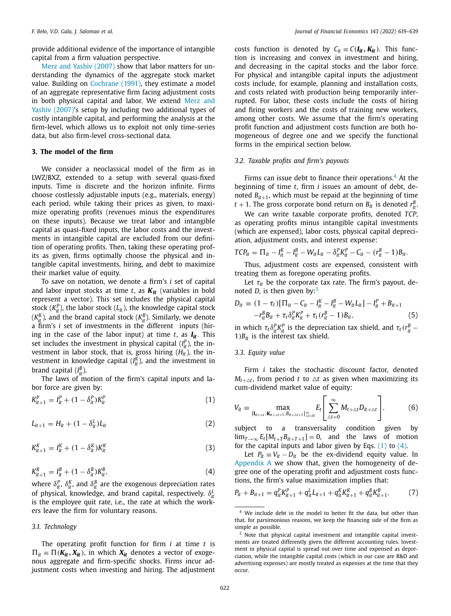<span id="page-3-0"></span>provide additional evidence of the importance of intangible capital from a firm valuation perspective.

Merz and Yashiv [\(2007\)](#page-20-0) show that labor matters for understanding the dynamics of the aggregate stock market value. Building on [Cochrane](#page-20-0) (1991), they estimate a model of an aggregate representative firm facing adjustment costs in both physical capital and labor. We extend Merz and Yashiv (2007)'s setup by including two [additional](#page-20-0) types of costly intangible capital, and performing the analysis at the firm-level, which allows us to exploit not only time-series data, but also firm-level cross-sectional data.

# **3. The model of the firm**

We consider a neoclassical model of the firm as in LWZ/BXZ, extended to a setup with several quasi-fixed inputs. Time is discrete and the horizon infinite. Firms choose costlessly adjustable inputs (e.g., materials, energy) each period, while taking their prices as given, to maximize operating profits (revenues minus the expenditures on these inputs). Because we treat labor and intangible capital as quasi-fixed inputs, the labor costs and the investments in intangible capital are excluded from our definition of operating profits. Then, taking these operating profits as given, firms optimally choose the physical and intangible capital investments, hiring, and debt to maximize their market value of equity.

To save on notation, we denote a firm's *i* set of capital and labor input stocks at time  $t$ , as  $K_{it}$  (variables in bold represent a vector). This set includes the physical capital stock  $(K_{it}^P)$ , the labor stock  $(L_{it})$ , the knowledge capital stock ( $K_{it}^K$ ), and the brand capital stock ( $K_{it}^B$ ). Similarly, we denote a firm's *i* set of investments in the different inputs (hiring in the case of the labor input) at time  $t$ , as  $I_{it}$ . This set includes the investment in physical capital  $(I<sub>i</sub><sup>p</sup>)$ , the investment in labor stock, that is, gross hiring (*Hit*), the investment in knowledge capital  $(I^K_{it})$ , and the investment in brand capital  $(I_{it}^B)$ .

The laws of motion of the firm's capital inputs and labor force are given by:

$$
K_{it+1}^{P} = I_{it}^{P} + (1 - \delta_{it}^{P})K_{it}^{P}
$$
 (1)

$$
L_{it+1} = H_{it} + (1 - \delta_{it}^L) L_{it}
$$
 (2)

$$
K_{it+1}^{K} = I_{it}^{K} + (1 - \delta_{it}^{K})K_{it}^{K}
$$
\n(3)

$$
K_{it+1}^B = I_{it}^B + (1 - \delta_{it}^B)K_{it}^B,
$$
\n(4)

where  $\delta_{it}^P$ ,  $\delta_{it}^K$ , and  $\delta_{it}^B$  are the exogenous depreciation rates of physical, knowledge, and brand capital, respectively. δ*<sup>L</sup> it* is the employee quit rate, i.e., the rate at which the workers leave the firm for voluntary reasons.

### *3.1. Technology*

The operating profit function for firm *i* at time *t* is  $\Pi_{it} \equiv \Pi(K_{it}, X_{it})$ , in which  $X_{it}$  denotes a vector of exogenous aggregate and firm-specific shocks. Firms incur adjustment costs when investing and hiring. The adjustment costs function is denoted by  $C_{it} \equiv C(I_{it}, K_{it})$ . This function is increasing and convex in investment and hiring, and decreasing in the capital stocks and the labor force. For physical and intangible capital inputs the adjustment costs include, for example, planning and installation costs, and costs related with production being temporarily interrupted. For labor, these costs include the costs of hiring and firing workers and the costs of training new workers, among other costs. We assume that the firm's operating profit function and adjustment costs function are both homogeneous of degree one and we specify the functional forms in the empirical section below.

# *3.2. Taxable profits and firm's payouts*

Firms can issue debt to finance their operations. $4$  At the beginning of time *t*, firm *i* issues an amount of debt, denoted  $B_{it+1}$ , which must be repaid at the beginning of time  $t + 1$ . The gross corporate bond return on  $B_{it}$  is denoted  $r^B_{it}$ .

We can write taxable corporate profits, denoted *TCP*, as operating profits minus intangible capital investments (which are expensed), labor costs, physical capital depreciation, adjustment costs, and interest expense:

$$
TCP_{it} = \Pi_{it} - I_{it}^K - I_{it}^B - W_{it}L_{it} - \delta_{it}^P K_{it}^P - C_{it} - (r_{it}^B - 1)B_{it}.
$$

Thus, adjustment costs are expensed, consistent with treating them as foregone operating profits.

Let  $\tau_{it}$  be the corporate tax rate. The firm's payout, denoted *D*, is then given by: $5$ 

$$
D_{it} = (1 - \tau_t) [\Pi_{it} - C_{it} - I_{it}^K - I_{it}^B - W_{it} L_{it}] - I_{it}^P + B_{it+1}
$$
  
-
$$
-r_{it}^B B_{it} + \tau_t \delta_{it}^P K_{it}^P + \tau_t (r_{it}^B - 1) B_{it},
$$
 (5)

in which  $\tau_t \delta^P_{it} K^P_{it}$  is the depreciation tax shield, and  $\tau_t (r^B_{it} - r^B_{it})$  $1)$  $B_{it}$  is the interest tax shield.

#### *3.3. Equity value*

Firm *i* takes the stochastic discount factor, denoted  $M_{t+\Delta t}$ , from period *t* to  $\Delta t$  as given when maximizing its cum-dividend market value of equity:

$$
V_{it} = \max_{\{\mathbf{I}_{it+\Delta t}, \mathbf{K}_{it+\Delta t+1}, B_{it+\Delta t+1}\}_{\Delta t=0}^{\infty}} E_t \left[ \sum_{\Delta t=0}^{\infty} M_{t+\Delta t} D_{it+\Delta t} \right],
$$
(6)

subject to a transversality condition given by  $\lim_{T\to\infty} E_t[M_{t+T}B_{it+T+1}] = 0$ , and the laws of motion for the capital inputs and labor given by Eqs.  $(1)$  to  $(4)$ .

Let  $P_{it} = V_{it} - D_{it}$  be the ex-dividend equity value. In [Appendix](#page-17-0) A we show that, given the homogeneity of degree one of the operating profit and adjustment costs functions, the firm's value maximization implies that:

$$
P_{it} + B_{it+1} = q_{it}^P K_{it+1}^P + q_{it}^L L_{it+1} + q_{it}^K K_{it+1}^K + q_{it}^B K_{it+1}^B,
$$
 (7)

We include debt in the model to better fit the data, but other than that, for parsimonious reasons, we keep the financing side of the firm as simple as possible.

<sup>5</sup> Note that physical capital investment and intangible capital investments are treated differently given the different accounting rules. Investment in physical capital is spread out over time and expensed as depreciation, while the intangible capital costs (which in our case are R&D and advertising expenses) are mostly treated as expenses at the time that they occur.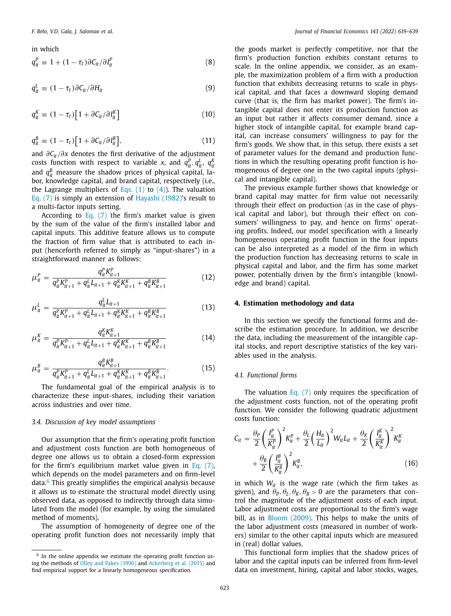#### <span id="page-4-0"></span>in which

$$
q_{it}^P \equiv 1 + (1 - \tau_t) \partial C_{it} / \partial I_{it}^P
$$
 (8)

$$
q_{it}^L \equiv (1 - \tau_t) \partial C_{it} / \partial H_{it} \tag{9}
$$

$$
q_{it}^K \equiv (1 - \tau_t) \big[ 1 + \partial C_{it} / \partial I_{it}^K \big] \tag{10}
$$

$$
q_{it}^B \equiv (1 - \tau_t) \left[ 1 + \partial C_{it} / \partial I_{it}^B \right], \tag{11}
$$

and ∂*Cit*/∂*x* denotes the first derivative of the adjustment costs function with respect to variable *x*, and  $q_{it}^P$ ,  $q_{it}^L$ ,  $q_{it}^R$ and  $q<sub>it</sub><sup>B</sup>$  measure the shadow prices of physical capital, labor, knowledge capital, and brand capital, respectively (i.e., the Lagrange multipliers of [Eqs.](#page-3-0)  $(1)$  to  $(4)$ ). The valuation [Eq.](#page-3-0) (7) is simply an extension of [Hayashi](#page-20-0) (1982)'s result to a multi-factor inputs setting.

According to [Eq.](#page-3-0) (7) the firm's market value is given by the sum of the value of the firm's installed labor and capital inputs. This additive feature allows us to compute the fraction of firm value that is attributed to each input (henceforth referred to simply as "input-shares") in a straightforward manner as follows:

$$
\mu_{it}^{P} = \frac{q_{it}^{P} K_{it+1}^{P}}{q_{it}^{P} K_{it+1}^{P} + q_{it}^{L} L_{it+1} + q_{it}^{K} K_{it+1}^{K} + q_{it}^{B} K_{it+1}^{B}} \tag{12}
$$

$$
\mu_{it}^L = \frac{q_{it}^L L_{it+1}}{q_{it}^P K_{it+1}^P + q_{it}^L L_{it+1} + q_{it}^K K_{it+1}^K + q_{it}^B K_{it+1}^B}
$$
(13)

$$
\mu_{it}^{K} = \frac{q_{it}^{K} K_{it+1}^{K}}{q_{it}^{P} K_{it+1}^{P} + q_{it}^{L} L_{it+1} + q_{it}^{K} K_{it+1}^{K} + q_{it}^{B} K_{it+1}^{B}} \tag{14}
$$

$$
\mu_{it}^{B} = \frac{q_{it}^{B} K_{it+1}^{B}}{q_{it}^{P} K_{it+1}^{P} + q_{it}^{L} L_{it+1} + q_{it}^{K} K_{it+1}^{K} + q_{it}^{B} K_{it+1}^{B}}.
$$
(15)

The fundamental goal of the empirical analysis is to characterize these input-shares, including their variation across industries and over time.

#### *3.4. Discussion of key model assumptions*

Our assumption that the firm's operating profit function and adjustment costs function are both homogeneous of degree one allows us to obtain a closed-form expression for the firm's equilibrium market value given in Eq. [\(7\),](#page-3-0) which depends on the model parameters and on firm-level data.<sup>6</sup> This greatly simplifies the empirical analysis because it allows us to estimate the structural model directly using observed data, as opposed to indirectly through data simulated from the model (for example, by using the simulated method of moments).

The assumption of homogeneity of degree one of the operating profit function does not necessarily imply that the goods market is perfectly competitive, nor that the firm's production function exhibits constant returns to scale. In the online appendix, we consider, as an example, the maximization problem of a firm with a production function that exhibits decreasing returns to scale in physical capital, and that faces a downward sloping demand curve (that is, the firm has market power). The firm's intangible capital does not enter its production function as an input but rather it affects consumer demand, since a higher stock of intangible capital, for example brand capital, can increase consumers' willingness to pay for the firm's goods. We show that, in this setup, there exists a set of parameter values for the demand and production functions in which the resulting operating profit function is homogeneous of degree one in the two capital inputs (physical and intangible capital).

The previous example further shows that knowledge or brand capital may matter for firm value not necessarily through their effect on production (as in the case of physical capital and labor), but through their effect on consumers' willingness to pay, and hence on firms' operating profits. Indeed, our model specification with a linearly homogeneous operating profit function in the four inputs can be also interpreted as a model of the firm in which the production function has decreasing returns to scale in physical capital and labor, and the firm has some market power, potentially driven by the firm's intangible (knowledge and brand) capital.

# **4. Estimation methodology and data**

In this section we specify the functional forms and describe the estimation procedure. In addition, we describe the data, including the measurement of the intangible capital stocks, and report descriptive statistics of the key variables used in the analysis.

#### *4.1. Functional forms*

The valuation [Eq.](#page-3-0) (7) only requires the specification of the adjustment costs function, not of the operating profit function. We consider the following quadratic adjustment costs function:

$$
C_{it} = \frac{\theta_P}{2} \left(\frac{I_{it}^P}{K_{it}^P}\right)^2 K_{it}^P + \frac{\theta_L}{2} \left(\frac{H_{it}}{L_{it}}\right)^2 W_{it} L_{it} + \frac{\theta_K}{2} \left(\frac{I_{it}^K}{K_{it}^K}\right)^2 K_{it}^K + \frac{\theta_B}{2} \left(\frac{I_{it}^B}{K_{it}^B}\right)^2 K_{it}^B
$$
\n(16)

in which  $W_{it}$  is the wage rate (which the firm takes as given), and  $\theta_P$ ,  $\theta_L$ ,  $\theta_K$ ,  $\theta_B$  > 0 are the parameters that control the magnitude of the adjustment costs of each input. Labor adjustment costs are proportional to the firm's wage bill, as in Bloom [\(2009\).](#page-20-0) This helps to make the units of the labor adjustment costs (measured in number of workers) similar to the other capital inputs which are measured in (real) dollar values.

This functional form implies that the shadow prices of labor and the capital inputs can be inferred from firm-level data on investment, hiring, capital and labor stocks, wages,

<sup>&</sup>lt;sup>6</sup> In the online appendix we estimate the operating profit function using the methods of Olley and Pakes [\(1996\)](#page-20-0) and [Ackerberg](#page-20-0) et al. (2015) and find empirical support for a linearly homogeneous specification.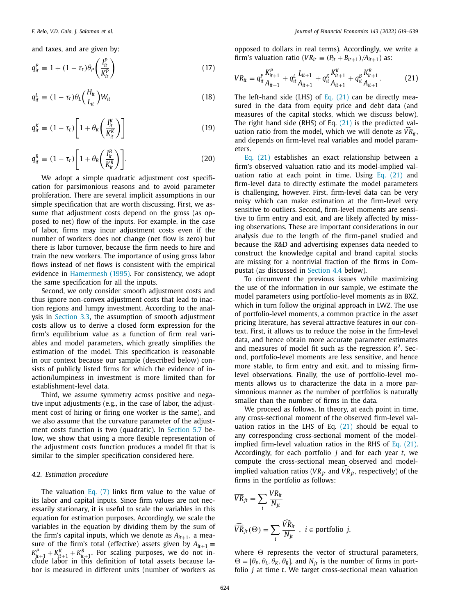<span id="page-5-0"></span>and taxes, and are given by:

$$
q_{it}^P \equiv 1 + (1 - \tau_t) \theta_P \left( \frac{I_{it}^P}{K_{it}^P} \right) \tag{17}
$$

*I*

$$
q_{it}^L \equiv (1 - \tau_t) \theta_L \left(\frac{H_{it}}{L_{it}}\right) W_{it} \tag{18}
$$

$$
q_{it}^{K} \equiv (1 - \tau_t) \left[ 1 + \theta_K \left( \frac{I_{it}^{K}}{K_{it}^{K}} \right) \right]
$$
 (19)

$$
q_{it}^{B} \equiv (1 - \tau_t) \left[ 1 + \theta_B \left( \frac{I_t^B}{K_t^B} \right) \right]. \tag{20}
$$

We adopt a simple quadratic adjustment cost specification for parsimonious reasons and to avoid parameter proliferation. There are several implicit assumptions in our simple specification that are worth discussing. First, we assume that adjustment costs depend on the gross (as opposed to net) flow of the inputs. For example, in the case of labor, firms may incur adjustment costs even if the number of workers does not change (net flow is zero) but there is labor turnover, because the firm needs to hire and train the new workers. The importance of using gross labor flows instead of net flows is consistent with the empirical evidence in [Hamermesh](#page-20-0) (1995). For consistency, we adopt the same specification for all the inputs.

Second, we only consider smooth adjustment costs and thus ignore non-convex adjustment costs that lead to inaction regions and lumpy investment. According to the analysis in [Section](#page-3-0) 3.3, the assumption of smooth adjustment costs allow us to derive a closed form expression for the firm's equilibrium value as a function of firm real variables and model parameters, which greatly simplifies the estimation of the model. This specification is reasonable in our context because our sample (described below) consists of publicly listed firms for which the evidence of inaction/lumpiness in investment is more limited than for establishment-level data.

Third, we assume symmetry across positive and negative input adjustments (e.g., in the case of labor, the adjustment cost of hiring or firing one worker is the same), and we also assume that the curvature parameter of the adjustment costs function is two (quadratic). In [Section](#page-16-0) 5.7 below, we show that using a more flexible representation of the adjustment costs function produces a model fit that is similar to the simpler specification considered here.

# *4.2. Estimation procedure*

The valuation [Eq.](#page-3-0) (7) links firm value to the value of its labor and capital inputs. Since firm values are not necessarily stationary, it is useful to scale the variables in this equation for estimation purposes. Accordingly, we scale the variables in the equation by dividing them by the sum of the firm's capital inputs, which we denote as  $A_{it+1}$ , a measure of the firm's total (effective) assets given by  $A_{it+1}$  =  $K_{lt+1}^p + K_{lt+1}^p + K_{lt+1}^p$ . For scaling purposes, we do not in-<br>clude labor in this definition of total assets because labor is measured in different units (number of workers as

opposed to dollars in real terms). Accordingly, we write a firm's valuation ratio ( $VR_{it} \equiv (P_{it} + B_{it+1})/A_{it+1}$ ) as:

$$
VR_{it} = q_{it}^{P} \frac{K_{it+1}^{P}}{A_{it+1}} + q_{it}^{L} \frac{L_{it+1}}{A_{it+1}} + q_{it}^{K} \frac{K_{it+1}^{K}}{A_{it+1}} + q_{it}^{B} \frac{K_{it+1}^{B}}{A_{it+1}}.
$$
 (21)

The left-hand side (LHS) of Eq.  $(21)$  can be directly measured in the data from equity price and debt data (and measures of the capital stocks, which we discuss below). The right hand side (RHS) of Eq. (21) is the predicted valuation ratio from the model, which we will denote as  $VR_{it}$ , and depends on firm-level real variables and model parameters.

Eq. (21) establishes an exact relationship between a firm's observed valuation ratio and its model-implied valuation ratio at each point in time. Using Eq.  $(21)$  and firm-level data to directly estimate the model parameters is challenging, however. First, firm-level data can be very noisy which can make estimation at the firm-level very sensitive to outliers. Second, firm-level moments are sensitive to firm entry and exit, and are likely affected by missing observations. These are important considerations in our analysis due to the length of the firm-panel studied and because the R&D and advertising expenses data needed to construct the knowledge capital and brand capital stocks are missing for a nontrivial fraction of the firms in Compustat (as discussed in [Section](#page-6-0) 4.4 below).

To circumvent the previous issues while maximizing the use of the information in our sample, we estimate the model parameters using portfolio-level moments as in BXZ, which in turn follow the original approach in LWZ. The use of portfolio-level moments, a common practice in the asset pricing literature, has several attractive features in our context. First, it allows us to reduce the noise in the firm-level data, and hence obtain more accurate parameter estimates and measures of model fit such as the regression  $R^2$ . Second, portfolio-level moments are less sensitive, and hence more stable, to firm entry and exit, and to missing firmlevel observations. Finally, the use of portfolio-level moments allows us to characterize the data in a more parsimonious manner as the number of portfolios is naturally smaller than the number of firms in the data.

We proceed as follows. In theory, at each point in time, any cross-sectional moment of the observed firm-level valuation ratios in the LHS of Eq.  $(21)$  should be equal to any corresponding cross-sectional moment of the modelimplied firm-level valuation ratios in the RHS of Eq. (21). Accordingly, for each portfolio *j* and for each year *t*, we compute the cross-sectional mean observed and modelimplied valuation ratios (VR<sub>jt</sub> and VR<sub>jt</sub>, respectively) of the firms in the portfolio as follows:

$$
\overline{VR}_{jt} = \sum_{i} \frac{VR_{it}}{N_{jt}}
$$

$$
\widehat{\overline{VR}}_{jt}(\Theta) = \sum_{i} \frac{\widehat{VR}_{it}}{N_{jt}} , i \in \text{portfolio } j,
$$

 $\leftarrow$   $VR_{ii}$ 

where  $\Theta$  represents the vector of structural parameters,  $\Theta = [\theta_P, \theta_L, \theta_K, \theta_B]$ , and  $N_{it}$  is the number of firms in portfolio *j* at time *t*. We target cross-sectional mean valuation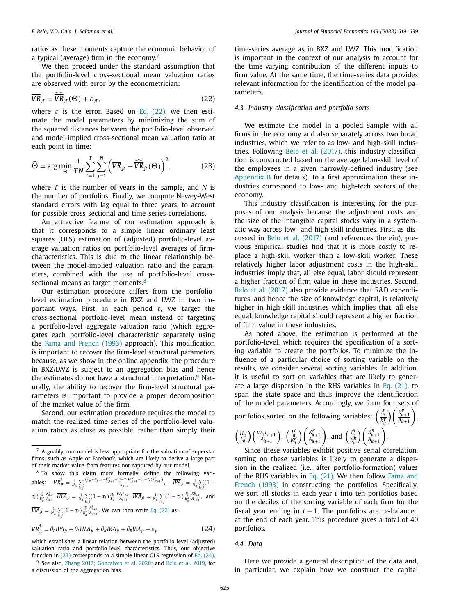<span id="page-6-0"></span>ratios as these moments capture the economic behavior of a typical (average) firm in the economy.<sup>7</sup>

We then proceed under the standard assumption that the portfolio-level cross-sectional mean valuation ratios are observed with error by the econometrician:

$$
\overline{VR}_{jt} = \overline{\widehat{VR}}_{jt}(\Theta) + \varepsilon_{jt},\tag{22}
$$

where  $\varepsilon$  is the error. Based on Eq. (22), we then estimate the model parameters by minimizing the sum of the squared distances between the portfolio-level observed and model-implied cross-sectional mean valuation ratio at each point in time:

$$
\widehat{\Theta} = \arg \min_{\Theta} \frac{1}{TN} \sum_{t=1}^{T} \sum_{j=1}^{N} \left( \overline{VR}_{jt} - \widehat{\overline{VR}}_{jt}(\Theta) \right)^2, \tag{23}
$$

where *T* is the number of years in the sample, and *N* is the number of portfolios. Finally, we compute Newey-West standard errors with lag equal to three years, to account for possible cross-sectional and time-series correlations.

An attractive feature of our estimation approach is that it corresponds to a simple linear ordinary least squares (OLS) estimation of (adjusted) portfolio-level average valuation ratios on portfolio-level averages of firmcharacteristics. This is due to the linear relationship between the model-implied valuation ratio and the parameters, combined with the use of portfolio-level crosssectional means as target moments.<sup>8</sup>

Our estimation procedure differs from the portfoliolevel estimation procedure in BXZ and LWZ in two important ways. First, in each period *t*, we target the cross-sectional portfolio-level mean instead of targeting a portfolio-level aggregate valuation ratio (which aggregates each portfolio-level characteristic separately using the Fama and [French](#page-20-0) (1993) approach). This modification is important to recover the firm-level structural parameters because, as we show in the online appendix, the procedure in BXZ/LWZ is subject to an aggregation bias and hence the estimates do not have a structural interpretation. $9$  Naturally, the ability to recover the firm-level structural parameters is important to provide a proper decomposition of the market value of the firm.

Second, our estimation procedure requires the model to match the realized time series of the portfolio-level valuation ratios as close as possible, rather than simply their

<sup>7</sup> Arguably, our model is less appropriate for the valuation of superstar firms, such as Apple or Facebook, which are likely to derive a large part of their market value from features not captured by our model.

<sup>8</sup> To show this claim more formally, define the following variables:  $\overline{VR}_{jt}^{A} = \frac{1}{N_{jt}} \sum_{i \in j}$  $\frac{(P_{jt} + B_{jt+1} - K_{jt+1}^p - (1 - \tau_t)K_{jt+1}^k - (1 - \tau_t)K_{jt+1}^p)}{A_{jt+1}}$ ,  $\overline{IPA}_{jt} = \frac{1}{N_{jt}} \sum_{i \in j} (1 - \tau_{jt} + \tau_{jt}^p)$  $\tau_t$ )  $\frac{I_t^P}{K_t^P}$  $\frac{R_{u+1}^p}{A_{u+1}},\overline{HIA}_{jt}=\frac{1}{N_{jt}}\sum\limits_{i\in j}(1-\tau_t)\frac{H_{it}}{L_{it}}\frac{W_{it}L_{it+1}}{A_{it+1}},\overline{IKA}_{jt}=\frac{1}{N_{jt}}\sum\limits_{i\in j}(1-\tau_t)\frac{I_{it}^k}{K_{it}^k}$  $\frac{K_{it+1}^K}{A_{it+1}}$ , and  $\overline{IBA}_{jt} = \frac{1}{N_{jt}} \sum_{i \in j} (1 - \tau_t) \frac{I_t^B}{K_t^B}$ *B*  $\frac{K_{lt+1}^B}{A_{lt+1}}$ . We can then write Eq. (22) as:

$$
\overline{VR}_{jt}^{A} = \theta_{P} \overline{IPA}_{jt} + \theta_{L} \overline{HLA}_{jt} + \theta_{R} \overline{IKA}_{jt} + \theta_{B} \overline{IBA}_{jt} + \varepsilon_{jt}
$$
\n(24)

<sup>9</sup> See also, Zhang 2017; [Gonçalves](#page-20-0) et al. 2020; and Belo et al. [2019,](#page-20-0) for a discussion of the aggregation bias.

time-series average as in BXZ and LWZ. This modification is important in the context of our analysis to account for the time-varying contribution of the different inputs to firm value. At the same time, the time-series data provides relevant information for the identification of the model parameters.

# *4.3. Industry classification and portfolio sorts*

We estimate the model in a pooled sample with all firms in the economy and also separately across two broad industries, which we refer to as low- and high-skill industries. Following Belo et al. [\(2017\),](#page-20-0) this industry classification is constructed based on the average labor-skill level of the employees in a given narrowly-defined industry (see [Appendix](#page-18-0) B for details). To a first approximation these industries correspond to low- and high-tech sectors of the economy.

This industry classification is interesting for the purposes of our analysis because the adjustment costs and the size of the intangible capital stocks vary in a systematic way across low- and high-skill industries. First, as discussed in Belo et al. [\(2017\)](#page-20-0) (and references therein), previous empirical studies find that it is more costly to replace a high-skill worker than a low-skill worker. These relatively higher labor adjustment costs in the high-skill industries imply that, all else equal, labor should represent a higher fraction of firm value in these industries. Second, Belo et al. [\(2017\)](#page-20-0) also provide evidence that R&D expenditures, and hence the size of knowledge capital, is relatively higher in high-skill industries which implies that, all else equal, knowledge capital should represent a higher fraction of firm value in these industries.

As noted above, the estimation is performed at the portfolio-level, which requires the specification of a sorting variable to create the portfolios. To minimize the influence of a particular choice of sorting variable on the results, we consider several sorting variables. In addition, it is useful to sort on variables that are likely to generate a large dispersion in the RHS variables in Eq.  $(21)$ , to span the state space and thus improve the identification of the model parameters. Accordingly, we form four sets of portfolios sorted on the following variables:  $\left(\frac{I_t^p}{K_t^p}\right)$  $\left(\frac{K_{it+1}^P}{A_{it+1}}\right)$ ,

$$
\left(\frac{H_{it}}{L_{it}}\right) \left(\frac{W_{it}L_{it+1}}{A_{it+1}}\right), \left(\frac{I_{it}^K}{R_t^K}\right) \left(\frac{K_{it+1}^K}{A_{it+1}}\right), \text{ and } \left(\frac{I_{it}^B}{R_t^B}\right) \left(\frac{K_{it+1}^B}{A_{it+1}}\right)
$$

Since these variables exhibit positive serial correlation, sorting on these variables is likely to generate a dispersion in the realized (i.e., after portfolio-formation) values of the RHS variables in Eq. [\(21\).](#page-5-0) We then follow Fama and French (1993) in [constructing](#page-20-0) the portfolios. Specifically, we sort all stocks in each year *t* into ten portfolios based on the deciles of the sorting variable of each firm for the fiscal year ending in  $t - 1$ . The portfolios are re-balanced at the end of each year. This procedure gives a total of 40 portfolios.

# *4.4. Data*

Here we provide a general description of the data and, in particular, we explain how we construct the capital

which establishes a linear relation between the portfolio-level (adjusted) valuation ratio and portfolio-level characteristics. Thus, our objective function in (23) corresponds to a simple linear OLS regression of Eq. (24).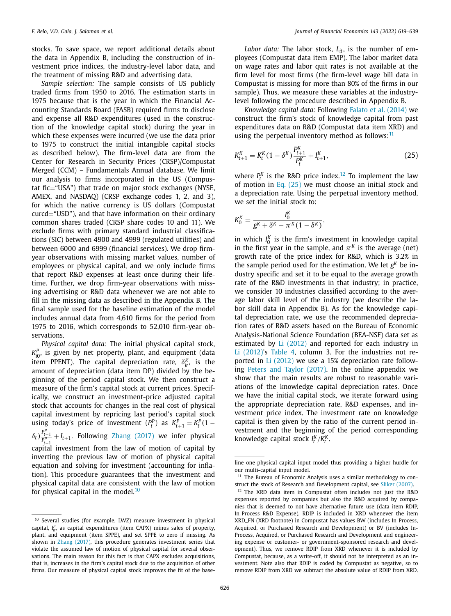stocks. To save space, we report additional details about the data in Appendix B, including the construction of investment price indices, the industry-level labor data, and the treatment of missing R&D and advertising data.

*Sample selection:* The sample consists of US publicly traded firms from 1950 to 2016. The estimation starts in 1975 because that is the year in which the Financial Accounting Standards Board (FASB) required firms to disclose and expense all R&D expenditures (used in the construction of the knowledge capital stock) during the year in which these expenses were incurred (we use the data prior to 1975 to construct the initial intangible capital stocks as described below). The firm-level data are from the Center for Research in Security Prices (CRSP)/Compustat Merged (CCM) – Fundamentals Annual database. We limit our analysis to firms incorporated in the US (Compustat fic="USA") that trade on major stock exchanges (NYSE, AMEX, and NASDAQ) (CRSP exchange codes 1, 2, and 3), for which the native currency is US dollars (Compustat curcd="USD"), and that have information on their ordinary common shares traded (CRSP share codes 10 and 11). We exclude firms with primary standard industrial classifications (SIC) between 4900 and 4999 (regulated utilities) and between 6000 and 6999 (financial services). We drop firmyear observations with missing market values, number of employees or physical capital, and we only include firms that report R&D expenses at least once during their lifetime. Further, we drop firm-year observations with missing advertising or R&D data whenever we are not able to fill in the missing data as described in the Appendix B. The final sample used for the baseline estimation of the model includes annual data from 4,610 firms for the period from 1975 to 2016, which corresponds to 52,010 firm-year observations.

*Physical capital data:* The initial physical capital stock,  $K_{i0}^P$ , is given by net property, plant, and equipment (data item PPENT). The capital depreciation rate,  $\delta_{it}^K$ , is the amount of depreciation (data item DP) divided by the beginning of the period capital stock. We then construct a measure of the firm's capital stock at current prices. Specifically, we construct an investment-price adjusted capital stock that accounts for changes in the real cost of physical capital investment by repricing last period's capital stock using today's price of investment  $(P_t^P)$  as  $K_{t+1}^P = K_t^P(1 - \frac{P_t^P}{P_t^P})$  $\delta_t$ )  $\frac{P_{t+1}^p}{P_{t+1}^p}$  + *I*<sub>t+1</sub>. Following Zhang [\(2017\)](#page-20-0) we infer physical capital investment from the law of motion of capital by inverting the previous law of motion of physical capital equation and solving for investment (accounting for inflation). This procedure guarantees that the investment and physical capital data are consistent with the law of motion for physical capital in the model. $10$ 

*Labor data:* The labor stock,  $L_{it}$ , is the number of employees (Compustat data item EMP). The labor market data on wage rates and labor quit rates is not available at the firm level for most firms (the firm-level wage bill data in Compustat is missing for more than 80% of the firms in our sample). Thus, we measure these variables at the industrylevel following the procedure described in Appendix B.

*Knowledge capital data:* Following Falato et al. [\(2014\)](#page-20-0) we construct the firm's stock of knowledge capital from past expenditures data on R&D (Compustat data item XRD) and using the perpetual inventory method as follows: $11$ 

$$
K_{t+1}^{K} = K_{t}^{K} (1 - \delta^{K}) \frac{P_{t+1}^{K}}{P_{t}^{K}} + I_{t+1}^{K},
$$
\n(25)

where  $P_t^K$  is the R&D price index.<sup>12</sup> To implement the law of motion in Eq.  $(25)$  we must choose an initial stock and a depreciation rate. Using the perpetual inventory method, we set the initial stock to:

$$
K_0^K = \frac{I_0^K}{g^K + \delta^K - \pi^K (1 - \delta^K)},
$$

in which  $I_0^K$  is the firm's investment in knowledge capital in the first year in the sample, and  $\pi^{K}$  is the average (net) growth rate of the price index for R&D, which is 3.2% in the sample period used for the estimation. We let *gK* be industry specific and set it to be equal to the average growth rate of the R&D investments in that industry; in practice, we consider 10 industries classified according to the average labor skill level of the industry (we describe the labor skill data in Appendix B). As for the knowledge capital depreciation rate, we use the recommended depreciation rates of R&D assets based on the Bureau of Economic Analysis-National Science Foundation (BEA-NSF) data set as estimated by Li [\(2012\)](#page-20-0) and reported for each industry in Li [\(2012\)'](#page-20-0)s [Table](#page-12-0) 4, column 3. For the industries not reported in Li [\(2012\)](#page-20-0) we use a 15% depreciation rate following Peters and Taylor [\(2017\).](#page-20-0) In the online appendix we show that the main results are robust to reasonable variations of the knowledge capital depreciation rates. Once we have the initial capital stock, we iterate forward using the appropriate depreciation rate, R&D expenses, and investment price index. The investment rate on knowledge capital is then given by the ratio of the current period investment and the beginning of the period corresponding knowledge capital stock  $I_t^K/K_t^K$ .

<sup>10</sup> Several studies (for example, LWZ) measure investment in physical capital,  $I_{it}^P$ , as capital expenditures (item CAPX) minus sales of property, plant, and equipment (item SPPE), and set SPPE to zero if missing. As shown in Zhang [\(2017\),](#page-20-0) this procedure generates investment series that violate the assumed law of motion of physical capital for several observations. The main reason for this fact is that CAPX excludes acquisitions, that is, increases in the firm's capital stock due to the acquisition of other firms. Our measure of physical capital stock improves the fit of the base-

line one-physical-capital input model thus providing a higher hurdle for our multi-capital input model.

<sup>&</sup>lt;sup>11</sup> The Bureau of Economic Analysis uses a similar methodology to construct the stock of Research and Development capital, see Sliker [\(2007\).](#page-20-0)

<sup>12</sup> The XRD data item in Compustat often includes not just the R&D expenses reported by companies but also the R&D acquired by companies that is deemed to not have alternative future use (data item RDIP, In-Process R&D Expense). RDIP is included in XRD whenever the item XRD\_FN (XRD footnote) in Compustat has values BW (includes In-Process, Acquired, or Purchased Research and Development) or BV (includes In-Process, Acquired, or Purchased Research and Development and engineering expense or customer- or government-sponsored research and development). Thus, we remove RDIP from XRD whenever it is included by Compustat, because, as a write-off, it should not be interpreted as an investment. Note also that RDIP is coded by Compustat as negative, so to remove RDIP from XRD we subtract the absolute value of RDIP from XRD.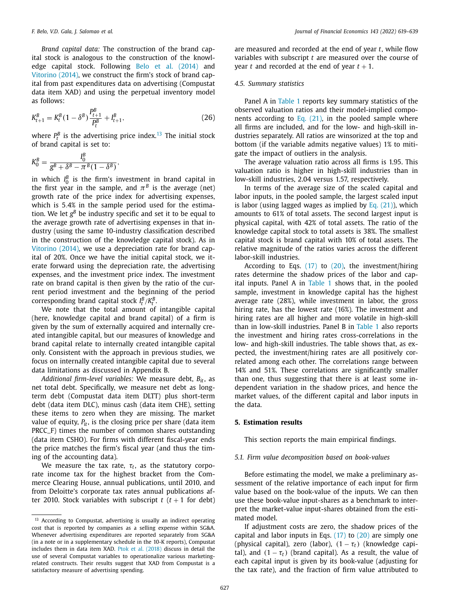<span id="page-8-0"></span>*Brand capital data:* The construction of the brand capital stock is analogous to the construction of the knowledge capital stock. Following Belo et al. [\(2014\)](#page-20-0) and [Vitorino](#page-20-0) (2014), we construct the firm's stock of brand capital from past expenditures data on advertising (Compustat data item XAD) and using the perpetual inventory model as follows:

$$
K_{t+1}^B = K_t^B (1 - \delta^B) \frac{P_{t+1}^B}{P_t^B} + I_{t+1}^B,
$$
\n(26)

where  $P_t^B$  is the advertising price index.<sup>13</sup> The initial stock of brand capital is set to:

$$
K_0^B = \frac{I_0^B}{g^B + \delta^B - \pi^B (1 - \delta^B)},
$$

in which  $I_0^B$  is the firm's investment in brand capital in the first year in the sample, and  $\pi^{B}$  is the average (net) growth rate of the price index for advertising expenses, which is 5.4% in the sample period used for the estimation. We let  $g^B$  be industry specific and set it to be equal to the average growth rate of advertising expenses in that industry (using the same 10-industry classification described in the construction of the knowledge capital stock). As in [Vitorino](#page-20-0) (2014), we use a depreciation rate for brand capital of 20%. Once we have the initial capital stock, we iterate forward using the depreciation rate, the advertising expenses, and the investment price index. The investment rate on brand capital is then given by the ratio of the current period investment and the beginning of the period corresponding brand capital stock  $I_t^B/K_t^B$ .

We note that the total amount of intangible capital (here, knowledge capital and brand capital) of a firm is given by the sum of externally acquired and internally created intangible capital, but our measures of knowledge and brand capital relate to internally created intangible capital only. Consistent with the approach in previous studies, we focus on internally created intangible capital due to several data limitations as discussed in Appendix B.

*Additional firm-level variables:* We measure debt, *Bit*, as net total debt. Specifically, we measure net debt as longterm debt (Compustat data item DLTT) plus short-term debt (data item DLC), minus cash (data item CHE), setting these items to zero when they are missing. The market value of equity,  $P_{it}$ , is the closing price per share (data item PRCC\_F) times the number of common shares outstanding (data item CSHO). For firms with different fiscal-year ends the price matches the firm's fiscal year (and thus the timing of the accounting data).

We measure the tax rate,  $\tau_t$ , as the statutory corporate income tax for the highest bracket from the Commerce Clearing House, annual publications, until 2010, and from Deloitte's corporate tax rates annual publications after 2010. Stock variables with subscript  $t$  ( $t + 1$  for debt) are measured and recorded at the end of year *t*, while flow variables with subscript *t* are measured over the course of year *t* and recorded at the end of year  $t + 1$ .

#### *4.5. Summary statistics*

Panel A in [Table](#page-9-0) 1 reports key summary statistics of the observed valuation ratios and their model-implied components according to Eq.  $(21)$ , in the pooled sample where all firms are included, and for the low- and high-skill industries separately. All ratios are winsorized at the top and bottom (if the variable admits negative values) 1% to mitigate the impact of outliers in the analysis.

The average valuation ratio across all firms is 1.95. This valuation ratio is higher in high-skill industries than in low-skill industries, 2.04 versus 1.57, respectively.

In terms of the average size of the scaled capital and labor inputs, in the pooled sample, the largest scaled input is labor (using lagged wages as implied by Eq.  $(21)$ ), which amounts to 61% of total assets. The second largest input is physical capital, with 42% of total assets. The ratio of the knowledge capital stock to total assets is 38%. The smallest capital stock is brand capital with 10% of total assets. The relative magnitude of the ratios varies across the different labor-skill industries.

According to Eqs.  $(17)$  to  $(20)$ , the investment/hiring rates determine the shadow prices of the labor and capital inputs. Panel A in [Table](#page-9-0) 1 shows that, in the pooled sample, investment in knowledge capital has the highest average rate (28%), while investment in labor, the gross hiring rate, has the lowest rate (16%). The investment and hiring rates are all higher and more volatile in high-skill than in low-skill industries. Panel B in [Table](#page-9-0) 1 also reports the investment and hiring rates cross-correlations in the low- and high-skill industries. The table shows that, as expected, the investment/hiring rates are all positively correlated among each other. The correlations range between 14% and 51%. These correlations are significantly smaller than one, thus suggesting that there is at least some independent variation in the shadow prices, and hence the market values, of the different capital and labor inputs in the data.

### **5. Estimation results**

This section reports the main empirical findings.

# *5.1. Firm value decomposition based on book-values*

Before estimating the model, we make a preliminary assessment of the relative importance of each input for firm value based on the book-value of the inputs. We can then use these book-value input-shares as a benchmark to interpret the market-value input-shares obtained from the estimated model.

If adjustment costs are zero, the shadow prices of the capital and labor inputs in Eqs.  $(17)$  to  $(20)$  are simply one (physical capital), zero (labor),  $(1 - \tau_t)$  (knowledge capital), and  $(1 - \tau_t)$  (brand capital). As a result, the value of each capital input is given by its book-value (adjusting for the tax rate), and the fraction of firm value attributed to

<sup>13</sup> According to Compustat, advertising is usually an indirect operating cost that is reported by companies as a selling expense within SG&A. Whenever advertising expenditures are reported separately from SG&A (in a note or in a supplementary schedule in the 10-K reports), Compustat includes them in data item XAD. Ptok et al. [\(2018\)](#page-20-0) discuss in detail the use of several Compustat variables to operationalize various marketingrelated constructs. Their results suggest that XAD from Compustat is a satisfactory measure of advertising spending.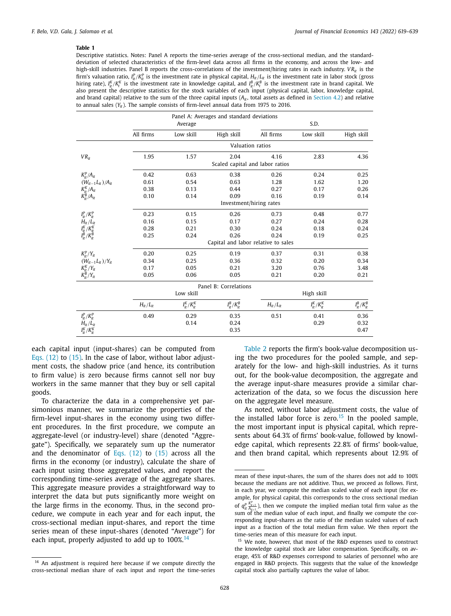<span id="page-9-0"></span>Descriptive statistics. Notes: Panel A reports the time-series average of the cross-sectional median, and the standarddeviation of selected characteristics of the firm-level data across all firms in the economy, and across the low- and high-skill industries. Panel B reports the cross-correlations of the investment/hiring rates in each industry. *VR<sub>it</sub>* is the firm's valuation ratio,  $I^p_{ll}/K^p_{ll}$  is the investment rate in physical capital,  $H_{lt}/L_{lt}$  is the investment rate in labor stock (gross hiring rate),  $I^{\kappa}_{ik}/K^{\kappa}_i$  is the investment rate in knowledge capital, and  $I^B_{ik}/K^B_i$  is the investment rate in brand capital. We also present the descriptive statistics for the stock variables of each input (physical capital, labor, knowledge capital, and brand capital) relative to the sum of the three capital inputs ( $A_{it}$ , total assets as defined in [Section](#page-5-0) 4.2) and relative to annual sales  $(Y_{it})$ . The sample consists of firm-level annual data from 1975 to 2016.

|                           | Panel A: Averages and standard deviations |                     |                                     |                 |                     |                     |  |  |  |
|---------------------------|-------------------------------------------|---------------------|-------------------------------------|-----------------|---------------------|---------------------|--|--|--|
|                           |                                           | Average             |                                     |                 | S.D.                |                     |  |  |  |
|                           | All firms                                 | Low skill           | High skill                          | All firms       | Low skill           | High skill          |  |  |  |
|                           |                                           |                     | Valuation ratios                    |                 |                     |                     |  |  |  |
| $VR_{it}$                 | 1.95                                      | 1.57                | 2.04                                | 4.16            | 2.83                | 4.36                |  |  |  |
|                           |                                           |                     | Scaled capital and labor ratios     |                 |                     |                     |  |  |  |
| $K_{ir}^P/A_{it}$         | 0.42                                      | 0.63                | 0.38                                | 0.26            | 0.24                | 0.25                |  |  |  |
| $(W_{it-1}L_{it})/A_{it}$ | 0.61                                      | 0.54                | 0.63                                | 1.28            | 1.62                | 1.20                |  |  |  |
| $K_{it}^K/A_{it}$         | 0.38                                      | 0.13                | 0.44                                | 0.27            | 0.17                | 0.26                |  |  |  |
| $K_{ir}^B/A_{it}$         | 0.10                                      | 0.14                | 0.09                                | 0.16            | 0.19                | 0.14                |  |  |  |
|                           |                                           |                     | Investment/hiring rates             |                 |                     |                     |  |  |  |
| $I_{it}^P/K_{it}^P$       | 0.23                                      | 0.15                | 0.26                                | 0.73            | 0.48                | 0.77                |  |  |  |
| $H_{it}/L_{it}$           | 0.16                                      | 0.15                | 0.17                                | 0.27            | 0.24                | 0.28                |  |  |  |
| $I_{it}^K/K_{it}^K$       | 0.28                                      | 0.21                | 0.30                                | 0.24            | 0.18                | 0.24                |  |  |  |
| $I_{it}^B/K_{it}^B$       | 0.25                                      | 0.24                | 0.26                                | 0.24            | 0.19                | 0.25                |  |  |  |
|                           |                                           |                     | Capital and labor relative to sales |                 |                     |                     |  |  |  |
| $K_{ir}^P/Y_{it}$         | 0.20                                      | 0.25                | 0.19                                | 0.37            | 0.31                | 0.38                |  |  |  |
| $(W_{it-1}L_{it})/Y_{it}$ | 0.34                                      | 0.25                | 0.36                                | 0.32            | 0.20                | 0.34                |  |  |  |
| $K_{it}^K/Y_{it}$         | 0.17                                      | 0.05                | 0.21                                | 3.20            | 0.76                | 3.48                |  |  |  |
| $K_{it}^B/Y_{it}$         | 0.05                                      | 0.06                | 0.05                                | 0.21            | 0.20                | 0.21                |  |  |  |
|                           |                                           |                     | Panel B: Correlations               |                 |                     |                     |  |  |  |
|                           |                                           | Low skill           |                                     |                 | High skill          |                     |  |  |  |
|                           | $H_{it}/L_{it}$                           | $I_{it}^K/K_{it}^K$ | $I_{it}^B/K_{it}^B$                 | $H_{it}/L_{it}$ | $I_{it}^K/K_{it}^K$ | $I_{it}^B/K_{it}^B$ |  |  |  |
| $I_{it}^P/K_{it}^P$       | 0.49                                      | 0.29                | 0.35                                | 0.51            | 0.41                | 0.36                |  |  |  |
| $H_{it}/L_{it}$           |                                           | 0.14                | 0.24                                |                 | 0.29                | 0.32                |  |  |  |
| $I_{it}^K/K_{it}^K$       |                                           |                     | 0.35                                |                 |                     | 0.47                |  |  |  |

each capital input (input-shares) can be computed from Eqs.  $(12)$  to  $(15)$ . In the case of labor, without labor adiustment costs, the shadow price (and hence, its contribution to firm value) is zero because firms cannot sell nor buy workers in the same manner that they buy or sell capital goods.

To characterize the data in a comprehensive yet parsimonious manner, we summarize the properties of the firm-level input-shares in the economy using two different procedures. In the first procedure, we compute an aggregate-level (or industry-level) share (denoted "Aggregate"). Specifically, we separately sum up the numerator and the denominator of Eqs.  $(12)$  to  $(15)$  across all the firms in the economy (or industry), calculate the share of each input using those aggregated values, and report the corresponding time-series average of the aggregate shares. This aggregate measure provides a straightforward way to interpret the data but puts significantly more weight on the large firms in the economy. Thus, in the second procedure, we compute in each year and for each input, the cross-sectional median input-shares, and report the time series mean of these input-shares (denoted "Average") for each input, properly adjusted to add up to  $100\%$ <sup>14</sup>

[Table](#page-10-0) 2 reports the firm's book-value decomposition using the two procedures for the pooled sample, and separately for the low- and high-skill industries. As it turns out, for the book-value decomposition, the aggregate and the average input-share measures provide a similar characterization of the data, so we focus the discussion here on the aggregate level measure.

As noted, without labor adjustment costs, the value of the installed labor force is zero.<sup>15</sup> In the pooled sample, the most important input is physical capital, which represents about 64.3% of firms' book-value, followed by knowledge capital, which represents 22.8% of firms' book-value, and then brand capital, which represents about 12.9% of

 $14$  An adjustment is required here because if we compute directly the cross-sectional median share of each input and report the time-series

mean of these input-shares, the sum of the shares does not add to 100% because the medians are not additive. Thus, we proceed as follows. First, in each year, we compute the median scaled value of each input (for example, for physical capital, this corresponds to the cross sectional median of  $q_i^P$   $\frac{R_{i+1}^P}{A_{i+1}}$ , then we compute the implied median total firm value as the sum of the median value of each input, and finally we compute the corresponding input-shares as the ratio of the median scaled values of each input as a fraction of the total median firm value. We then report the time-series mean of this measure for each input.

<sup>&</sup>lt;sup>15</sup> We note, however, that most of the R&D expenses used to construct the knowledge capital stock are labor compensation. Specifically, on average, 45% of R&D expenses correspond to salaries of personnel who are engaged in R&D projects. This suggests that the value of the knowledge capital stock also partially captures the value of labor.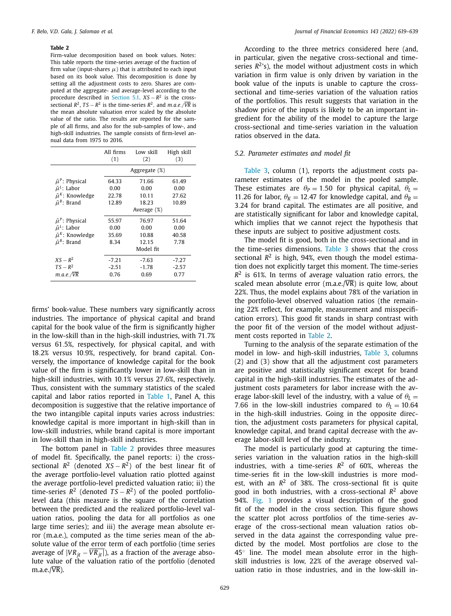<span id="page-10-0"></span>Firm-value decomposition based on book values. Notes: This table reports the time-series average of the fraction of firm value (input-shares  $\mu$ ) that is attributed to each input based on its book value. This decomposition is done by setting all the adjustment costs to zero. Shares are computed at the aggregate- and average-level according to the procedure described in [Section](#page-8-0) 5.1. *XS* − *R*<sup>2</sup> is the crosssectional  $R^2$ ,  $TS - R^2$  is the time-series  $R^2$ , and  $m.a.e./\overline{VR}$  is the mean absolute valuation error scaled by the absolute value of the ratio. The results are reported for the sample of all firms, and also for the sub-samples of low-, and high-skill industries. The sample consists of firm-level annual data from 1975 to 2016.

|                           | All firms<br>(1) | Low skill<br>(2) | High skill<br>(3) |
|---------------------------|------------------|------------------|-------------------|
|                           |                  | Aggregate (%)    |                   |
| $\bar{\mu}^P$ : Physical  | 64.33            | 71.66            | 61.49             |
| $\bar{\mu}^L$ : Labor     | 0.00             | 0.00             | 0.00              |
| $\bar{\mu}^K$ : Knowledge | 22.78            | 10.11            | 27.62             |
| $\bar{\mu}^B$ : Brand     | 12.89            | 18.23            | 10.89             |
|                           |                  | Average (%)      |                   |
| $\bar{\mu}^P$ : Physical  | 55.97            | 76.97            | 51.64             |
| $\bar{\mu}^L$ : Labor     | 0.00             | 0.00             | 0.00              |
| $\bar{\mu}^K$ : Knowledge | 35.69            | 10.88            | 40.58             |
| $\bar{\mu}^B$ : Brand     | 8.34             | 12.15            | 7.78              |
|                           |                  | Model fit        |                   |
| $XS - R^2$                | $-7.21$          | $-7.63$          | $-7.27$           |
| $TS - R^2$                | $-2.51$          | $-1.78$          | $-2.57$           |
| $m.a.e./\overline{VR}$    | 0.76             | 0.69             | 0.77              |

firms' book-value. These numbers vary significantly across industries. The importance of physical capital and brand capital for the book value of the firm is significantly higher in the low-skill than in the high-skill industries, with 71.7% versus 61.5%, respectively, for physical capital, and with 18.2% versus 10.9%, respectively, for brand capital. Conversely, the importance of knowledge capital for the book value of the firm is significantly lower in low-skill than in high-skill industries, with 10.1% versus 27.6%, respectively. Thus, consistent with the summary statistics of the scaled capital and labor ratios reported in [Table](#page-9-0) 1, Panel A, this decomposition is suggestive that the relative importance of the two intangible capital inputs varies across industries: knowledge capital is more important in high-skill than in low-skill industries, while brand capital is more important in low-skill than in high-skill industries.

The bottom panel in Table 2 provides three measures of model fit. Specifically, the panel reports: i) the crosssectional  $R^2$  (denoted  $XS - R^2$ ) of the best linear fit of the average portfolio-level valuation ratio plotted against the average portfolio-level predicted valuation ratio; ii) the time-series  $R^2$  (denoted  $TS - R^2$ ) of the pooled portfoliolevel data (this measure is the square of the correlation between the predicted and the realized portfolio-level valuation ratios, pooling the data for all portfolios as one large time series); and iii) the average mean absolute error (m.a.e.), computed as the time series mean of the absolute value of the error term of each portfolio (time series average of  $|VR_{it} - \overline{VR_{it}|}$ ), as a fraction of the average absolute value of the valuation ratio of the portfolio (denoted  $m.a.e./\overline{VR}$ ).

According to the three metrics considered here (and, in particular, given the negative cross-sectional and timeseries  $R^2$ 's), the model without adjustment costs in which variation in firm value is only driven by variation in the book value of the inputs is unable to capture the crosssectional and time-series variation of the valuation ratios of the portfolios. This result suggests that variation in the shadow price of the inputs is likely to be an important ingredient for the ability of the model to capture the large cross-sectional and time-series variation in the valuation ratios observed in the data.

### *5.2. Parameter estimates and model fit*

[Table](#page-11-0) 3, column (1), reports the adjustment costs parameter estimates of the model in the pooled sample. These estimates are  $\theta_P = 1.50$  for physical capital,  $\theta_I =$ 11.26 for labor,  $\theta_K = 12.47$  for knowledge capital, and  $\theta_B =$ 3.24 for brand capital. The estimates are all positive, and are statistically significant for labor and knowledge capital, which implies that we cannot reject the hypothesis that these inputs are subject to positive adjustment costs.

The model fit is good, both in the cross-sectional and in the time-series dimensions. [Table](#page-11-0) 3 shows that the cross sectional *R*<sup>2</sup> is high, 94%, even though the model estimation does not explicitly target this moment. The time-series  $R<sup>2</sup>$  is 61%. In terms of average valuation ratio errors, the scaled mean absolute error (m.a.e./ $\overline{VR}$ ) is quite low, about 22%. Thus, the model explains about 78% of the variation in the portfolio-level observed valuation ratios (the remaining 22% reflect, for example, measurement and misspecification errors). This good fit stands in sharp contrast with the poor fit of the version of the model without adjustment costs reported in Table 2.

Turning to the analysis of the separate estimation of the model in low- and high-skill industries, [Table](#page-11-0) 3, columns (2) and (3) show that all the adjustment cost parameters are positive and statistically significant except for brand capital in the high-skill industries. The estimates of the adjustment costs parameters for labor increase with the average labor-skill level of the industry, with a value of  $\theta_L$  = 7.66 in the low-skill industries compared to  $\theta$ <sup>L</sup> = 10.64 in the high-skill industries. Going in the opposite direction, the adjustment costs parameters for physical capital, knowledge capital, and brand capital decrease with the average labor-skill level of the industry.

The model is particularly good at capturing the timeseries variation in the valuation ratios in the high-skill industries, with a time-series  $R^2$  of 60%, whereas the time-series fit in the low-skill industries is more modest. with an  $R^2$  of 38%. The cross-sectional fit is quite good in both industries, with a cross-sectional *R*<sup>2</sup> above 94%. [Fig.](#page-11-0) 1 provides a visual description of the good fit of the model in the cross section. This figure shows the scatter plot across portfolios of the time-series average of the cross-sectional mean valuation ratios observed in the data against the corresponding value predicted by the model. Most portfolios are close to the 45◦ line. The model mean absolute error in the highskill industries is low, 22% of the average observed valuation ratio in those industries, and in the low-skill in-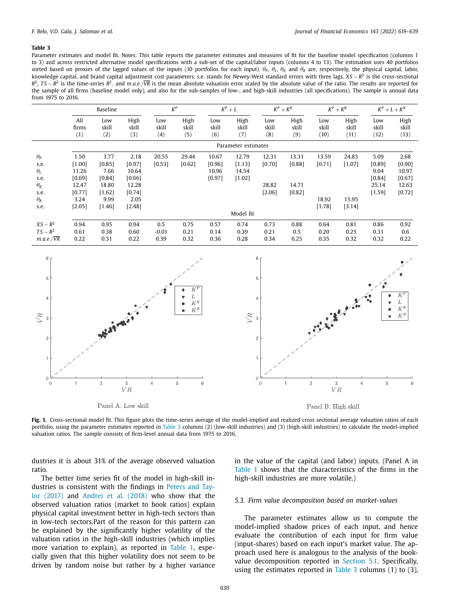<span id="page-11-0"></span>Parameter estimates and model fit. Notes: This table reports the parameter estimates and measures of fit for the baseline model specification (columns 1 to 3) and across restricted alternative model specifications with a sub-set of the capital/labor inputs (columns 4 to 13). The estimation uses 40 portfolios sorted based on proxies of the lagged values of the inputs (10 portfolios for each input).  $\theta_P$ ,  $\theta_L$ ,  $\theta_K$  and  $\theta_B$  are, respectively, the physical capital, labor, knowledge capital, and brand capital adjustment cost parameters. s.e. stands for Newey-West standard errors with three lags. *XS* − *R*<sup>2</sup> is the cross-sectional  $R^2$ , *TS* −  $R^2$  is the time-series  $R^2$ , and *m.a.e.*/ $\overline{VR}$  is the mean absolute valuation error scaled by the absolute value of the ratio. The results are reported for the sample of all firms (baseline model only), and also for the sub-samples of low-, and high-skill industries (all specifications). The sample is annual data from 1975 to 2016.

|                                                                                              |                                                                        | Baseline                                                                |                                                                        |                        | $K^P$                |                                    | $K^P + L$                            |                                    | $K^P + K^K$                        |                                    | $K^P + K^B$                        |                                                       | $K^P + L + K^K$                                        |
|----------------------------------------------------------------------------------------------|------------------------------------------------------------------------|-------------------------------------------------------------------------|------------------------------------------------------------------------|------------------------|----------------------|------------------------------------|--------------------------------------|------------------------------------|------------------------------------|------------------------------------|------------------------------------|-------------------------------------------------------|--------------------------------------------------------|
|                                                                                              | All<br>firms<br>(1)                                                    | Low<br>skill<br>(2)                                                     | High<br>skill<br>(3)                                                   | Low<br>skill<br>(4)    | High<br>skill<br>(5) | Low<br>skill<br>(6)                | High<br>skill<br>(7)                 | Low<br>skill<br>(8)                | High<br>skill<br>(9)               | Low<br>skill<br>(10)               | High<br>skill<br>(11)              | Low<br>skill<br>(12)                                  | High<br>skill<br>(13)                                  |
|                                                                                              |                                                                        |                                                                         |                                                                        |                        |                      |                                    | Parameter estimates                  |                                    |                                    |                                    |                                    |                                                       |                                                        |
| $\theta_{P}$<br>s.e.<br>$\theta_L$<br>s.e.<br>$\theta_K$<br>s.e.<br>$\theta_{\rm R}$<br>s.e. | 1.50<br>[1.00]<br>11.26<br>[0.69]<br>12.47<br>[0.77]<br>3.24<br>[2.05] | 3.77<br>[0.85]<br>7.66<br>[0.84]<br>18.80<br>$[1.62]$<br>9.99<br>[1.46] | 2.18<br>[0.97]<br>10.64<br>[0.66]<br>12.28<br>[0.74]<br>2.05<br>[2.48] | 20.55<br>[0.53]        | 29.44<br>[0.62]      | 10.67<br>[0.96]<br>10.96<br>[0.97] | 12.79<br>[1.13]<br>14.54<br>$[1.02]$ | 12.31<br>[0.70]<br>28.82<br>[2.06] | 13.31<br>[0.88]<br>14.71<br>[0.82] | 13.59<br>[0.71]<br>18.92<br>[1.78] | 24.83<br>[1.07]<br>15.95<br>[3.14] | 5.09<br>[0.89]<br>9.04<br>[0.84]<br>25.14<br>$[1.59]$ | 2.68<br>[0.90]<br>10.97<br>[0.67]<br>12.63<br>$[0.72]$ |
|                                                                                              |                                                                        |                                                                         |                                                                        |                        |                      |                                    | Model fit                            |                                    |                                    |                                    |                                    |                                                       |                                                        |
| $XS - R^2$<br>$TS - R^2$<br>$m.a.e./\overline{VR}$                                           | 0.94<br>0.61<br>0.22                                                   | 0.95<br>0.38<br>0.31                                                    | 0.94<br>0.60<br>0.22                                                   | 0.5<br>$-0.01$<br>0.39 | 0.75<br>0.21<br>0.32 | 0.57<br>0.14<br>0.36               | 0.74<br>0.39<br>0.28                 | 0.73<br>0.21<br>0.34               | 0.88<br>0.5<br>0.25                | 0.64<br>0.20<br>0.35               | 0.81<br>0.25<br>0.32               | 0.86<br>0.31<br>0.32                                  | 0.92<br>0.6<br>0.22                                    |



Fig. 1. Cross-sectional model fit. This figure plots the time-series average of the model-implied and realized cross sectional average valuation ratios of each portfolio, using the parameter estimates reported in Table 3 columns (2) (low-skill industries) and (3) (high-skill industries) to calculate the model-implied valuation ratios. The sample consists of firm-level annual data from 1975 to 2016.

dustries it is about 31% of the average observed valuation ratio.

The better time series fit of the model in high-skill industries is [consistent](#page-20-0) with the findings in Peters and Taylor (2017) and [Andrei](#page-20-0) et al. (2018) who show that the observed valuation ratios (market to book ratios) explain physical capital investment better in high-tech sectors than in low-tech sectors.Part of the reason for this pattern can be explained by the significantly higher volatility of the valuation ratios in the high-skill industries (which implies more variation to explain), as reported in [Table](#page-9-0) 1, especially given that this higher volatility does not seem to be driven by random noise but rather by a higher variance in the value of the capital (and labor) inputs. (Panel A in [Table](#page-9-0) 1 shows that the characteristics of the firms in the high-skill industries are more volatile.)

#### *5.3. Firm value decomposition based on market-values*

The parameter estimates allow us to compute the model-implied shadow prices of each input, and hence evaluate the contribution of each input for firm value (input-shares) based on each input's market value. The approach used here is analogous to the analysis of the bookvalue decomposition reported in [Section](#page-8-0) 5.1. Specifically, using the estimates reported in Table 3 columns (1) to (3),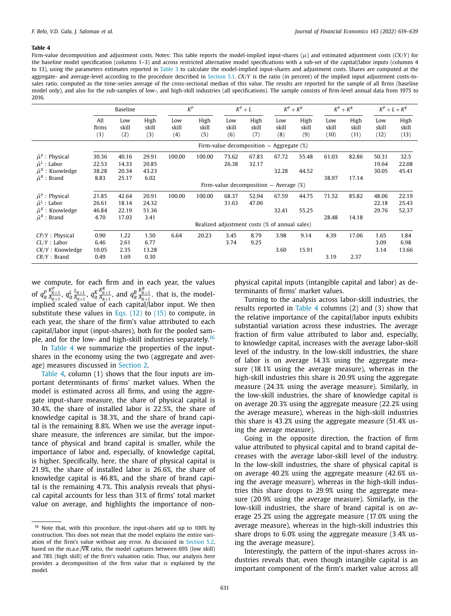<span id="page-12-0"></span>Firm-value decomposition and adjustment costs. Notes: This table reports the model-implied input-shares  $(\mu)$  and estimated adjustment costs  $(CX/Y)$  for the baseline model specification (columns 1–3) and across restricted alternative model specifications with a sub-set of the capital/labor inputs (columns 4 to 13), using the parameters estimates reported in [Table](#page-11-0) 3 to calculate the model-implied input-shares and adjustment costs. Shares are computed at the aggregate- and average-level according to the procedure described in [Section](#page-8-0) 5.1. *CX*/*Y* is the ratio (in percent) of the implied input adjustment costs-tosales ratio, computed as the time-series average of the cross-sectional median of this value. The results are reported for the sample of all firms (baseline model only), and also for the sub-samples of low-, and high-skill industries (all specifications). The sample consists of firm-level annual data from 1975 to 2016.

|                                                                                                         |                                 | Baseline                         |                                 | $K^P$               |                      |                     | $K^P + L$                                     | $K^P + K^K$         |                      |                      | $K^P + K^B$           |                         | $K^P + L + K^K$         |
|---------------------------------------------------------------------------------------------------------|---------------------------------|----------------------------------|---------------------------------|---------------------|----------------------|---------------------|-----------------------------------------------|---------------------|----------------------|----------------------|-----------------------|-------------------------|-------------------------|
|                                                                                                         | All<br>firms<br>(1)             | Low<br>skill<br>(2)              | High<br>skill<br>(3)            | Low<br>skill<br>(4) | High<br>skill<br>(5) | Low<br>skill<br>(6) | High<br>skill<br>(7)                          | Low<br>skill<br>(8) | High<br>skill<br>(9) | Low<br>skill<br>(10) | High<br>skill<br>(11) | Low<br>skill<br>(12)    | High<br>skill<br>(13)   |
|                                                                                                         |                                 |                                  |                                 |                     |                      |                     | Firm-value decomposition $-$ Aggregate $(\%)$ |                     |                      |                      |                       |                         |                         |
| $\bar{\mu}^P$ : Physical<br>$\bar{\mu}^L$ : Labor<br>$\bar{\mu}^K$ : Knowledge<br>$\bar{\mu}^B$ : Brand | 30.36<br>22.53<br>38.28<br>8.83 | 40.16<br>14.33<br>20.34<br>25.17 | 29.91<br>20.85<br>43.23<br>6.02 | 100.00              | 100.00               | 73.62<br>26.38      | 67.83<br>32.17                                | 67.72<br>32.28      | 55.48<br>44.52       | 61.03<br>38.97       | 82.86<br>17.14        | 50.31<br>19.64<br>30.05 | 32.5<br>22.08<br>45.41  |
|                                                                                                         |                                 |                                  |                                 |                     |                      |                     | Firm-value decomposition $-$ Average $(\%)$   |                     |                      |                      |                       |                         |                         |
| $\bar{\mu}^P$ : Physical<br>$\bar{\mu}^L$ : Labor<br>$\bar{\mu}^K$ : Knowledge                          | 21.85<br>26.61<br>46.84         | 42.64<br>18.14<br>22.19          | 20.91<br>24.32<br>51.36         | 100.00              | 100.00               | 68.37<br>31.63      | 52.94<br>47.06                                | 67.59<br>32.41      | 44.75<br>55.25       | 71.52                | 85.82                 | 48.06<br>22.18<br>29.76 | 22.19<br>25.43<br>52.37 |
| $\bar{\mu}^B$ : Brand                                                                                   | 4.70                            | 17.03                            | 3.41                            |                     |                      |                     | Realized adjustment costs (% of annual sales) |                     |                      | 28.48                | 14.18                 |                         |                         |
| $CP/Y$ : Physical<br>$CL/Y$ : Labor<br>$CK/Y$ : Knowledge<br>$CB/Y$ : Brand                             | 0.90<br>6.46<br>10.05<br>0.49   | 1.22<br>2.61<br>2.35<br>1.69     | 1.50<br>6.77<br>13.28<br>0.30   | 6.64                | 20.23                | 3.45<br>3.74        | 8.79<br>9.25                                  | 3.98<br>3.60        | 9.14<br>15.91        | 4.39<br>3.19         | 17.06<br>2.37         | 1.65<br>3.09<br>3.14    | 1.84<br>6.98<br>13.66   |

we compute, for each firm and in each year, the values of  $q_{it}^P$  $\frac{K_{it+1}^P}{A_{it+1}}$ ,  $q_{it}^L$   $\frac{L_{it+1}}{A_{it+1}}$ ,  $q_{it}^K$  $\frac{K_{it+1}^K}{A_{it+1}}$ , and  $q_{it}^B$  $\frac{K_{it+1}^B}{A_{it+1}}$ , that is, the modelimplied scaled value of each capital/labor input. We then substitute these values in Eqs.  $(12)$  to  $(15)$  to compute, in each year, the share of the firm's value attributed to each capital/labor input (input-shares), both for the pooled sample, and for the low- and high-skill industries separately.<sup>16</sup>

In Table 4 we summarize the properties of the inputshares in the economy using the two (aggregate and average) measures discussed in [Section](#page-10-0) 2.

Table 4, column (1) shows that the four inputs are important determinants of firms' market values. When the model is estimated across all firms, and using the aggregate input-share measure, the share of physical capital is 30.4%, the share of installed labor is 22.5%, the share of knowledge capital is 38.3%, and the share of brand capital is the remaining 8.8%. When we use the average inputshare measure, the inferences are similar, but the importance of physical and brand capital is smaller, while the importance of labor and, especially, of knowledge capital, is higher. Specifically, here, the share of physical capital is 21.9%, the share of installed labor is 26.6%, the share of knowledge capital is 46.8%, and the share of brand capital is the remaining 4.7%. This analysis reveals that physical capital accounts for less than 31% of firms' total market value on average, and highlights the importance of nonphysical capital inputs (intangible capital and labor) as determinants of firms' market values.

Turning to the analysis across labor-skill industries, the results reported in Table 4 columns (2) and (3) show that the relative importance of the capital/labor inputs exhibits substantial variation across these industries. The average fraction of firm value attributed to labor and, especially, to knowledge capital, increases with the average labor-skill level of the industry. In the low-skill industries, the share of labor is on average 14.3% using the aggregate measure (18.1% using the average measure), whereas in the high-skill industries this share is 20.9% using the aggregate measure (24.3% using the average measure). Similarly, in the low-skill industries, the share of knowledge capital is on average 20.3% using the aggregate measure (22.2% using the average measure), whereas in the high-skill industries this share is 43.2% using the aggregate measure (51.4% using the average measure).

Going in the opposite direction, the fraction of firm value attributed to physical capital and to brand capital decreases with the average labor-skill level of the industry. In the low-skill industries, the share of physical capital is on average 40.2% using the aggregate measure (42.6% using the average measure), whereas in the high-skill industries this share drops to 29.9% using the aggregate measure (20.9% using the average measure). Similarly, in the low-skill industries, the share of brand capital is on average 25.2% using the aggregate measure (17.0% using the average measure), whereas in the high-skill industries this share drops to 6.0% using the aggregate measure (3.4% using the average measure).

Interestingly, the pattern of the input-shares across industries reveals that, even though intangible capital is an important component of the firm's market value across all

 $16$  Note that, with this procedure, the input-shares add up to 100% by construction. This does not mean that the model explains the entire variation of the firm's value without any error. As discussed in [Section](#page-10-0) 5.2, based on the m.a.e./ $\overline{\text{VR}}$  ratio, the model captures between 69% (low skill) and 78% (high skill) of the firm's valuation ratio. Thus, our analysis here provides a decomposition of the firm value that is explained by the model.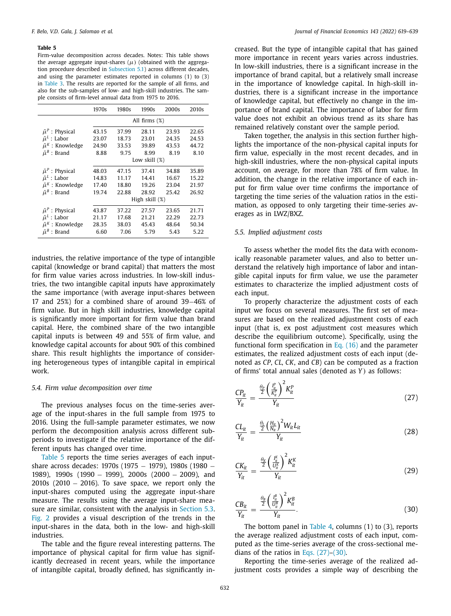<span id="page-13-0"></span>Firm-value decomposition across decades. Notes: This table shows the average aggregate input-shares  $(\mu)$  (obtained with the aggregation procedure described in [Subsection](#page-8-0) 5.1) across different decades, and using the parameter estimates reported in columns (1) to (3) in [Table](#page-11-0) 3. The results are reported for the sample of all firms, and also for the sub-samples of low- and high-skill industries. The sample consists of firm-level annual data from 1975 to 2016.

|                           | 1970s         | 1980s | 1990s          | 2000s | 2010 <sub>s</sub> |  |  |
|---------------------------|---------------|-------|----------------|-------|-------------------|--|--|
|                           | All firms (%) |       |                |       |                   |  |  |
| $\bar{\mu}^P$ : Physical  | 43.15         | 37.99 | 28.11          | 23.93 | 22.65             |  |  |
| $\bar{\mu}^L$ : Labor     | 23.07         | 18.73 | 23.01          | 24.35 | 24.53             |  |  |
| $\bar{\mu}^K$ : Knowledge | 24.90         | 33.53 | 39.89          | 43.53 | 44.72             |  |  |
| $\bar{\mu}^B$ : Brand     | 8.88          | 9.75  | 8.99           | 8.19  | 8.10              |  |  |
|                           |               |       | Low skill (%)  |       |                   |  |  |
| $\bar{\mu}^P$ : Physical  | 48.03         | 47.15 | 37.41          | 34.88 | 35.89             |  |  |
| $\bar{\mu}^L$ : Labor     | 14.83         | 11.17 | 14.41          | 16.67 | 15.22             |  |  |
| $\bar{\mu}^K$ : Knowledge | 17.40         | 18.80 | 19.26          | 23.04 | 21.97             |  |  |
| $\bar{\mu}^B$ : Brand     | 19.74         | 22.88 | 28.92          | 25.42 | 26.92             |  |  |
|                           |               |       | High skill (%) |       |                   |  |  |
| $\bar{\mu}^P$ : Physical  | 43.87         | 37.22 | 27.57          | 23.65 | 21.71             |  |  |
| $\bar{\mu}^L$ : Labor     | 21.17         | 17.68 | 21.21          | 22.29 | 22.73             |  |  |
| $\bar{\mu}^K$ : Knowledge | 28.35         | 38.03 | 45.43          | 48.64 | 50.34             |  |  |
| $\bar{\mu}^B$ : Brand     | 6.60          | 7.06  | 5.79           | 5.43  | 5.22              |  |  |

industries, the relative importance of the type of intangible capital (knowledge or brand capital) that matters the most for firm value varies across industries. In low-skill industries, the two intangible capital inputs have approximately the same importance (with average input-shares between 17 and 25%) for a combined share of around 39−46% of firm value. But in high skill industries, knowledge capital is significantly more important for firm value than brand capital. Here, the combined share of the two intangible capital inputs is between 49 and 55% of firm value, and knowledge capital accounts for about 90% of this combined share. This result highlights the importance of considering heterogeneous types of intangible capital in empirical work.

### *5.4. Firm value decomposition over time*

The previous analyses focus on the time-series average of the input-shares in the full sample from 1975 to 2016. Using the full-sample parameter estimates, we now perform the decomposition analysis across different subperiods to investigate if the relative importance of the different inputs has changed over time.

Table 5 reports the time series averages of each inputshare across decades: 1970s (1975 – 1979), 1980s (1980 – 1989), 1990s (1990 − 1999), 2000s (2000 − 2009), and 2010s (2010 − 2016). To save space, we report only the input-shares computed using the aggregate input-share measure. The results using the average input-share mea-sure are similar, consistent with the analysis in [Section](#page-11-0) 5.3. [Fig.](#page-14-0) 2 provides a visual description of the trends in the input-shares in the data, both in the low- and high-skill industries.

The table and the figure reveal interesting patterns. The importance of physical capital for firm value has significantly decreased in recent years, while the importance of intangible capital, broadly defined, has significantly increased. But the type of intangible capital that has gained more importance in recent years varies across industries. In low-skill industries, there is a significant increase in the importance of brand capital, but a relatively small increase in the importance of knowledge capital. In high-skill industries, there is a significant increase in the importance of knowledge capital, but effectively no change in the importance of brand capital. The importance of labor for firm value does not exhibit an obvious trend as its share has remained relatively constant over the sample period.

Taken together, the analysis in this section further highlights the importance of the non-physical capital inputs for firm value, especially in the most recent decades, and in high-skill industries, where the non-physical capital inputs account, on average, for more than 78% of firm value. In addition, the change in the relative importance of each input for firm value over time confirms the importance of targeting the time series of the valuation ratios in the estimation, as opposed to only targeting their time-series averages as in LWZ/BXZ.

# *5.5. Implied adjustment costs*

To assess whether the model fits the data with economically reasonable parameter values, and also to better understand the relatively high importance of labor and intangible capital inputs for firm value, we use the parameter estimates to characterize the implied adjustment costs of each input.

To properly characterize the adjustment costs of each input we focus on several measures. The first set of measures are based on the realized adjustment costs of each input (that is, ex post adjustment cost measures which describe the equilibrium outcome). Specifically, using the functional form specification in Eq.  $(16)$  and the parameter estimates, the realized adjustment costs of each input (denoted as *CP*, *CL*, *CK*, and *CB*) can be computed as a fraction of firms' total annual sales (denoted as *Y* ) as follows:

$$
\frac{CP_{it}}{Y_{it}} = \frac{\frac{\theta_P}{2} \left(\frac{I_t^p}{K_t^p}\right)^2 K_{it}^p}{Y_{it}}
$$
(27)

$$
\frac{CL_{it}}{Y_{it}} = \frac{\frac{\theta_t}{2} \left(\frac{H_{it}}{N_{it}}\right)^2 W_{it} L_{it}}{Y_{it}}
$$
(28)

$$
\frac{CK_{it}}{Y_{it}} = \frac{\frac{\theta_K}{2} \left(\frac{I_{it}^K}{U_{it}^K}\right)^2 K_{it}^K}{Y_{it}}
$$
(29)

$$
\frac{CB_{it}}{Y_{it}} = \frac{\frac{\theta_B}{2} \left(\frac{I_{it}^B}{U_{it}^B}\right)^2 K_{it}^B}{Y_{it}}.
$$
\n(30)

The bottom panel in [Table](#page-12-0) 4, columns (1) to (3), reports the average realized adjustment costs of each input, computed as the time-series average of the cross-sectional medians of the ratios in Eqs.  $(27)-(30)$ .

Reporting the time-series average of the realized adjustment costs provides a simple way of describing the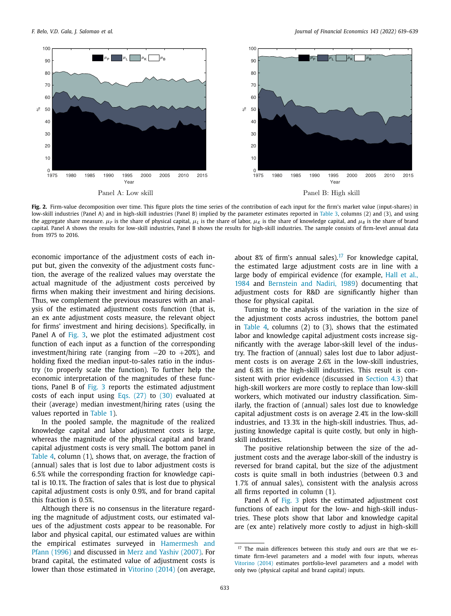<span id="page-14-0"></span>

**Fig. 2.** Firm-value decomposition over time. This figure plots the time series of the contribution of each input for the firm's market value (input-shares) in low-skill industries (Panel A) and in high-skill industries (Panel B) implied by the parameter estimates reported in [Table](#page-11-0) 3, columns (2) and (3), and using the aggregate share measure.  $\mu_P$  is the share of physical capital,  $\mu_L$  is the share of labor,  $\mu_R$  is the share of knowledge capital, and  $\mu_B$  is the share of brand capital. Panel A shows the results for low-skill industries, Panel B shows the results for high-skill industries. The sample consists of firm-level annual data from 1975 to 2016.

economic importance of the adjustment costs of each input but, given the convexity of the adjustment costs function, the average of the realized values may overstate the actual magnitude of the adjustment costs perceived by firms when making their investment and hiring decisions. Thus, we complement the previous measures with an analysis of the estimated adjustment costs function (that is, an ex ante adjustment costs measure, the relevant object for firms' investment and hiring decisions). Specifically, in Panel A of [Fig.](#page-15-0) 3, we plot the estimated adjustment cost function of each input as a function of the corresponding investment/hiring rate (ranging from −20 to +20%), and holding fixed the median input-to-sales ratio in the industry (to properly scale the function). To further help the economic interpretation of the magnitudes of these functions, Panel B of [Fig.](#page-15-0) 3 reports the estimated adjustment costs of each input using Eqs.  $(27)$  to  $(30)$  evaluated at their (average) median investment/hiring rates (using the values reported in [Table](#page-9-0) 1).

In the pooled sample, the magnitude of the realized knowledge capital and labor adjustment costs is large, whereas the magnitude of the physical capital and brand capital adjustment costs is very small. The bottom panel in [Table](#page-12-0) 4, column (1), shows that, on average, the fraction of (annual) sales that is lost due to labor adjustment costs is 6.5% while the corresponding fraction for knowledge capital is 10.1%. The fraction of sales that is lost due to physical capital adjustment costs is only 0.9%, and for brand capital this fraction is 0.5%.

Although there is no consensus in the literature regarding the magnitude of adjustment costs, our estimated values of the adjustment costs appear to be reasonable. For labor and physical capital, our estimated values are within the empirical estimates surveyed in [Hamermesh](#page-20-0) and Pfann (1996) and discussed in Merz and Yashiv [\(2007\).](#page-20-0) For brand capital, the estimated value of adjustment costs is lower than those estimated in [Vitorino](#page-20-0) (2014) (on average, about 8% of firm's annual sales).<sup>17</sup> For knowledge capital, the estimated large adjustment costs are in line with a large body of empirical evidence (for example, Hall et al., 1984 and [Bernstein](#page-20-0) and Nadiri, 1989) [documenting](#page-20-0) that adjustment costs for R&D are significantly higher than those for physical capital.

Turning to the analysis of the variation in the size of the adjustment costs across industries, the bottom panel in [Table](#page-12-0) 4, columns (2) to (3), shows that the estimated labor and knowledge capital adjustment costs increase significantly with the average labor-skill level of the industry. The fraction of (annual) sales lost due to labor adjustment costs is on average 2.6% in the low-skill industries, and 6.8% in the high-skill industries. This result is consistent with prior evidence (discussed in [Section](#page-6-0) 4.3) that high-skill workers are more costly to replace than low-skill workers, which motivated our industry classification. Similarly, the fraction of (annual) sales lost due to knowledge capital adjustment costs is on average 2.4% in the low-skill industries, and 13.3% in the high-skill industries. Thus, adjusting knowledge capital is quite costly, but only in highskill industries.

The positive relationship between the size of the adjustment costs and the average labor-skill of the industry is reversed for brand capital, but the size of the adjustment costs is quite small in both industries (between 0.3 and 1.7% of annual sales), consistent with the analysis across all firms reported in column (1).

Panel A of [Fig.](#page-15-0) 3 plots the estimated adjustment cost functions of each input for the low- and high-skill industries. These plots show that labor and knowledge capital are (ex ante) relatively more costly to adjust in high-skill

<sup>&</sup>lt;sup>17</sup> The main differences between this study and ours are that we estimate firm-level parameters and a model with four inputs, whereas [Vitorino](#page-20-0) (2014) estimates portfolio-level parameters and a model with only two (physical capital and brand capital) inputs.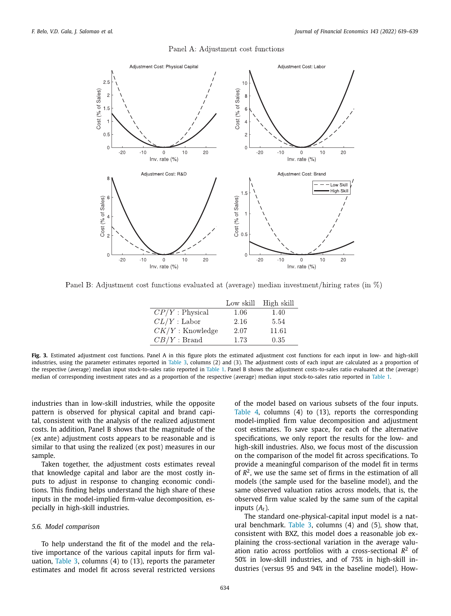#### Panel A: Adjustment cost functions

<span id="page-15-0"></span>

Panel B: Adjustment cost functions evaluated at (average) median investment/hiring rates (in  $\%$ )

|                    | Low skill | High skill |
|--------------------|-----------|------------|
| $CP/Y$ : Physical  | 1.06      | 1.40       |
| $CL/Y$ : Labor     | 2.16      | 5.54       |
| $CK/Y$ : Knowledge | 2.07      | 11.61      |
| $CB/Y$ : Brand     | 1.73      | 0.35       |

**Fig. 3.** Estimated adjustment cost functions. Panel A in this figure plots the estimated adjustment cost functions for each input in low- and high-skill industries, using the parameter estimates reported in [Table](#page-11-0) 3, columns (2) and (3). The adjustment costs of each input are calculated as a proportion of the respective (average) median input stock-to-sales ratio reported in [Table](#page-9-0) 1. Panel B shows the adjustment costs-to-sales ratio evaluated at the (average) median of corresponding investment rates and as a proportion of the respective (average) median input stock-to-sales ratio reported in [Table](#page-9-0) 1.

industries than in low-skill industries, while the opposite pattern is observed for physical capital and brand capital, consistent with the analysis of the realized adjustment costs. In addition, Panel B shows that the magnitude of the (ex ante) adjustment costs appears to be reasonable and is similar to that using the realized (ex post) measures in our sample.

Taken together, the adjustment costs estimates reveal that knowledge capital and labor are the most costly inputs to adjust in response to changing economic conditions. This finding helps understand the high share of these inputs in the model-implied firm-value decomposition, especially in high-skill industries.

#### *5.6. Model comparison*

To help understand the fit of the model and the relative importance of the various capital inputs for firm valuation, [Table](#page-11-0) 3, columns (4) to (13), reports the parameter estimates and model fit across several restricted versions of the model based on various subsets of the four inputs. [Table](#page-12-0) 4, columns (4) to (13), reports the corresponding model-implied firm value decomposition and adjustment cost estimates. To save space, for each of the alternative specifications, we only report the results for the low- and high-skill industries. Also, we focus most of the discussion on the comparison of the model fit across specifications. To provide a meaningful comparison of the model fit in terms of *R*2, we use the same set of firms in the estimation of all models (the sample used for the baseline model), and the same observed valuation ratios across models, that is, the observed firm value scaled by the same sum of the capital inputs  $(A_t)$ .

The standard one-physical-capital input model is a natural benchmark. [Table](#page-11-0) 3, columns (4) and (5), show that, consistent with BXZ, this model does a reasonable job explaining the cross-sectional variation in the average valuation ratio across portfolios with a cross-sectional *R*<sup>2</sup> of 50% in low-skill industries, and of 75% in high-skill industries (versus 95 and 94% in the baseline model). How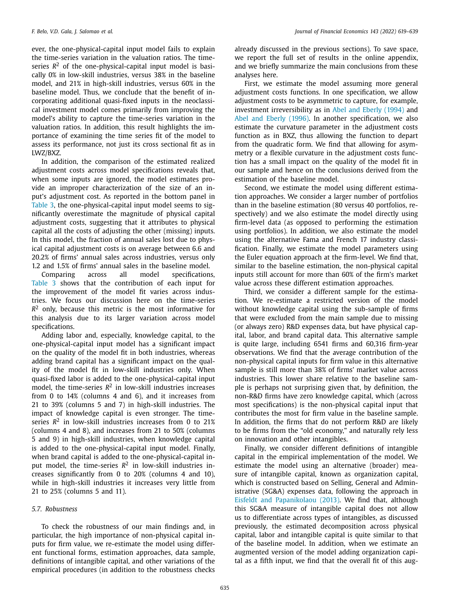<span id="page-16-0"></span>ever, the one-physical-capital input model fails to explain the time-series variation in the valuation ratios. The timeseries  $R^2$  of the one-physical-capital input model is basically 0% in low-skill industries, versus 38% in the baseline model, and 21% in high-skill industries, versus 60% in the baseline model. Thus, we conclude that the benefit of incorporating additional quasi-fixed inputs in the neoclassical investment model comes primarily from improving the model's ability to capture the time-series variation in the valuation ratios. In addition, this result highlights the importance of examining the time series fit of the model to assess its performance, not just its cross sectional fit as in LWZ/BXZ.

In addition, the comparison of the estimated realized adjustment costs across model specifications reveals that, when some inputs are ignored, the model estimates provide an improper characterization of the size of an input's adjustment cost. As reported in the bottom panel in [Table](#page-11-0) 3, the one-physical-capital input model seems to significantly overestimate the magnitude of physical capital adjustment costs, suggesting that it attributes to physical capital all the costs of adjusting the other (missing) inputs. In this model, the fraction of annual sales lost due to physical capital adjustment costs is on average between 6.6 and 20.2% of firms' annual sales across industries, versus only 1.2 and 1.5% of firms' annual sales in the baseline model.

Comparing across all model specifications, [Table](#page-11-0) 3 shows that the contribution of each input for the improvement of the model fit varies across industries. We focus our discussion here on the time-series *R*<sup>2</sup> only, because this metric is the most informative for this analysis due to its larger variation across model specifications.

Adding labor and, especially, knowledge capital, to the one-physical-capital input model has a significant impact on the quality of the model fit in both industries, whereas adding brand capital has a significant impact on the quality of the model fit in low-skill industries only. When quasi-fixed labor is added to the one-physical-capital input model, the time-series  $R^2$  in low-skill industries increases from 0 to 14% (columns 4 and 6), and it increases from 21 to 39% (columns 5 and 7) in high-skill industries. The impact of knowledge capital is even stronger. The timeseries  $R^2$  in low-skill industries increases from 0 to 21% (columns 4 and 8), and increases from 21 to 50% (columns 5 and 9) in high-skill industries, when knowledge capital is added to the one-physical-capital input model. Finally, when brand capital is added to the one-physical-capital input model, the time-series  $R^2$  in low-skill industries increases significantly from 0 to 20% (columns 4 and 10), while in high-skill industries it increases very little from 21 to 25% (columns 5 and 11).

### *5.7. Robustness*

To check the robustness of our main findings and, in particular, the high importance of non-physical capital inputs for firm value, we re-estimate the model using different functional forms, estimation approaches, data sample, definitions of intangible capital, and other variations of the empirical procedures (in addition to the robustness checks already discussed in the previous sections). To save space, we report the full set of results in the online appendix, and we briefly summarize the main conclusions from these analyses here.

First, we estimate the model assuming more general adjustment costs functions. In one specification, we allow adjustment costs to be asymmetric to capture, for example, investment irreversibility as in Abel and Eberly [\(1994\)](#page-20-0) and Abel and Eberly [\(1996\).](#page-20-0) In another specification, we also estimate the curvature parameter in the adjustment costs function as in BXZ, thus allowing the function to depart from the quadratic form. We find that allowing for asymmetry or a flexible curvature in the adjustment costs function has a small impact on the quality of the model fit in our sample and hence on the conclusions derived from the estimation of the baseline model.

Second, we estimate the model using different estimation approaches. We consider a larger number of portfolios than in the baseline estimation (80 versus 40 portfolios, respectively) and we also estimate the model directly using firm-level data (as opposed to performing the estimation using portfolios). In addition, we also estimate the model using the alternative Fama and French 17 industry classification. Finally, we estimate the model parameters using the Euler equation approach at the firm-level. We find that, similar to the baseline estimation, the non-physical capital inputs still account for more than 60% of the firm's market value across these different estimation approaches.

Third, we consider a different sample for the estimation. We re-estimate a restricted version of the model without knowledge capital using the sub-sample of firms that were excluded from the main sample due to missing (or always zero) R&D expenses data, but have physical capital, labor, and brand capital data. This alternative sample is quite large, including 6541 firms and 60,316 firm-year observations. We find that the average contribution of the non-physical capital inputs for firm value in this alternative sample is still more than 38% of firms' market value across industries. This lower share relative to the baseline sample is perhaps not surprising given that, by definition, the non-R&D firms have zero knowledge capital, which (across most specifications) is the non-physical capital input that contributes the most for firm value in the baseline sample. In addition, the firms that do not perform R&D are likely to be firms from the "old economy," and naturally rely less on innovation and other intangibles.

Finally, we consider different definitions of intangible capital in the empirical implementation of the model. We estimate the model using an alternative (broader) measure of intangible capital, known as organization capital, which is constructed based on Selling, General and Administrative (SG&A) expenses data, following the approach in Eisfeldt and [Papanikolaou](#page-20-0) (2013). We find that, although this SG&A measure of intangible capital does not allow us to differentiate across types of intangibles, as discussed previously, the estimated decomposition across physical capital, labor and intangible capital is quite similar to that of the baseline model. In addition, when we estimate an augmented version of the model adding organization capital as a fifth input, we find that the overall fit of this aug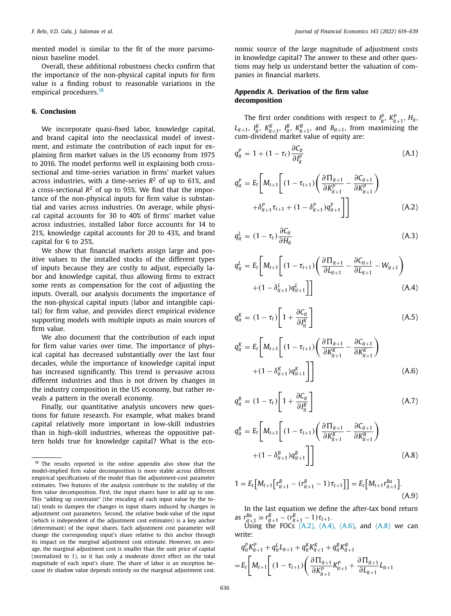<span id="page-17-0"></span>mented model is similar to the fit of the more parsimonious baseline model.

Overall, these additional robustness checks confirm that the importance of the non-physical capital inputs for firm value is a finding robust to reasonable variations in the empirical procedures.<sup>18</sup>

# **6. Conclusion**

We incorporate quasi-fixed labor, knowledge capital, and brand capital into the neoclassical model of investment, and estimate the contribution of each input for explaining firm market values in the US economy from 1975 to 2016. The model performs well in explaining both crosssectional and time-series variation in firms' market values across industries, with a time-series  $R^2$  of up to 61%, and a cross-sectional  $R^2$  of up to 95%. We find that the importance of the non-physical inputs for firm value is substantial and varies across industries. On average, while physical capital accounts for 30 to 40% of firms' market value across industries, installed labor force accounts for 14 to 21%, knowledge capital accounts for 20 to 43%, and brand capital for 6 to 25%.

We show that financial markets assign large and positive values to the installed stocks of the different types of inputs because they are costly to adjust, especially labor and knowledge capital, thus allowing firms to extract some rents as compensation for the cost of adjusting the inputs. Overall, our analysis documents the importance of the non-physical capital inputs (labor and intangible capital) for firm value, and provides direct empirical evidence supporting models with multiple inputs as main sources of firm value.

We also document that the contribution of each input for firm value varies over time. The importance of physical capital has decreased substantially over the last four decades, while the importance of knowledge capital input has increased significantly. This trend is pervasive across different industries and thus is not driven by changes in the industry composition in the US economy, but rather reveals a pattern in the overall economy.

Finally, our quantitative analysis uncovers new questions for future research. For example, what makes brand capital relatively more important in low-skill industries than in high-skill industries, whereas the oppositive pattern holds true for knowledge capital? What is the economic source of the large magnitude of adjustment costs in knowledge capital? The answer to these and other questions may help us understand better the valuation of companies in financial markets.

# **Appendix A. Derivation of the firm value decomposition**

The first order conditions with respect to  $I_{it}^P$ ,  $K_{it+1}^P$ ,  $H_{it}$ ,  $L_{it+1}$ ,  $I_{it}^K$ ,  $K_{it+1}^B$ ,  $I_{it}^B$ ,  $K_{it+1}^B$ , and  $B_{it+1}$ , from maximizing the cum-dividend market value of equity are:

$$
q_{it}^{P} = 1 + (1 - \tau_t) \frac{\partial C_{it}}{\partial I_{it}^{P}}
$$
 (A.1)

$$
q_{it}^{P} = E_{t} \left[ M_{t+1} \left[ (1 - \tau_{t+1}) \left( \frac{\partial \Pi_{it+1}}{\partial K_{it+1}^{P}} - \frac{\partial C_{it+1}}{\partial K_{it+1}^{P}} \right) + \delta_{it+1}^{P} \tau_{t+1} + (1 - \delta_{it+1}^{P}) q_{it+1}^{P} \right] \right]
$$
(A.2)

$$
q_{it}^L = (1 - \tau_t) \frac{\partial C_{it}}{\partial H_{it}} \tag{A.3}
$$

$$
q_{it}^{L} = E_{t} \left[ M_{t+1} \left[ (1 - \tau_{t+1}) \left( \frac{\partial \Pi_{it+1}}{\partial L_{it+1}} - \frac{\partial C_{it+1}}{\partial L_{it+1}} - W_{it+1} \right) + (1 - \delta_{it+1}^{L}) q_{it+1}^{L} \right] \right]
$$
\n(A.4)

$$
q_{it}^{K} = (1 - \tau_{t}) \left[ 1 + \frac{\partial C_{it}}{\partial I_{it}^{K}} \right]
$$
 (A.5)

$$
q_{it}^{K} = E_{t} \left[ M_{t+1} \left[ (1 - \tau_{t+1}) \left( \frac{\partial \Pi_{it+1}}{\partial K_{it+1}^{K}} - \frac{\partial C_{it+1}}{\partial K_{it+1}^{K}} \right) + (1 - \delta_{it+1}^{K}) q_{it+1}^{K} \right] \right]
$$
(A.6)

$$
q_{it}^{B} = (1 - \tau_{t}) \left[ 1 + \frac{\partial C_{it}}{\partial I_{it}^{B}} \right]
$$
 (A.7)

$$
q_{it}^{B} = E_{t} \left[ M_{t+1} \left[ (1 - \tau_{t+1}) \left( \frac{\partial \Pi_{it+1}}{\partial K_{it+1}^{B}} - \frac{\partial C_{it+1}}{\partial K_{it+1}^{B}} \right) + (1 - \delta_{it+1}^{B}) q_{it+1}^{B} \right] \right]
$$
(A.8)

$$
1 = E_t \big[ M_{t+1} \big[ r_{it+1}^B - (r_{it+1}^B - 1) \tau_{t+1} \big] \big] = E_t \big[ M_{t+1} r_{it+1}^{Ba} \big].
$$
\n(A.9)

In the last equation we define the after-tax bond return as  $r_{it+1}^{Ba} \equiv r_{it+1}^B - (r_{it+1}^B - 1) \tau_{t+1}$ .

 $\bigcup_{n=1}^{n+1}$  the FOCs (A.2), (A.4), (A.6), and (A.8) we can write:

$$
q_{it}^{P} K_{it+1}^{P} + q_{it}^{L} L_{it+1} + q_{it}^{K} K_{it+1}^{K} + q_{it}^{B} K_{it+1}^{B}
$$
  
=  $E_{t} \left[ M_{t+1} \left[ (1 - \tau_{t+1}) \left( \frac{\partial \Pi_{it+1}}{\partial K_{it+1}^{P}} K_{it+1}^{P} + \frac{\partial \Pi_{it+1}}{\partial L_{it+1}} L_{it+1} \right) \right] \right]$ 

<sup>&</sup>lt;sup>18</sup> The results reported in the online appendix also show that the model-implied firm value decomposition is more stable across different empirical specifications of the model than the adjustment-cost parameter estimates. Two features of the analysis contribute to the stability of the firm value decomposition. First, the input shares have to add up to one. This "adding up constraint" (the rescaling of each input value by the total) tends to dampen the changes in input shares induced by changes in adjustment cost parameters. Second, the relative book-value of the input (which is independent of the adjustment cost estimates) is a key anchor (determinant) of the input shares. Each adjustment cost parameter will change the corresponding input's share relative to this anchor through its impact on the *marginal* adjustment cost estimate. However, on average, the marginal adjustment cost is smaller than the unit price of capital (normalized to 1), so it has only a moderate direct effect on the total magnitude of each input's share. The share of labor is an exception because its shadow value depends entirely on the marginal adjustment cost.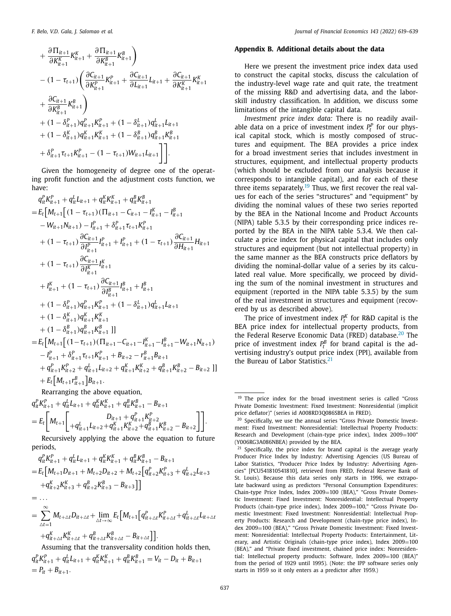<span id="page-18-0"></span>
$$
+\frac{\partial \Pi_{it+1}}{\partial K_{it+1}^K} K_{it+1}^K + \frac{\partial \Pi_{it+1}}{\partial K_{it+1}^B} K_{it+1}^B \bigg) - (1 - \tau_{t+1}) \left( \frac{\partial C_{it+1}}{\partial K_{it+1}^P} K_{it+1}^P + \frac{\partial C_{it+1}}{\partial L_{it+1}} L_{it+1} + \frac{\partial C_{it+1}}{\partial K_{it+1}^K} K_{it+1}^K \right) + \frac{\partial C_{it+1}}{\partial K_{it+1}^B} K_{it+1}^B \bigg) + (1 - \delta_{it+1}^P) q_{it+1}^P K_{it+1}^P + (1 - \delta_{it+1}^L) q_{it+1}^L L_{it+1} + (1 - \delta_{it+1}^K) q_{it+1}^K K_{it+1}^K + (1 - \delta_{it+1}^B) q_{it+1}^B K_{it+1}^B + \delta_{it+1}^P \tau_{t+1} K_{it+1}^P - (1 - \tau_{t+1}) W_{it+1} L_{it+1} \bigg] .
$$

Given the homogeneity of degree one of the operating profit function and the adjustment costs function, we have:

$$
q_{it}^{P} K_{it+1}^{P} + q_{it}^{L} L_{it+1} + q_{it}^{K} K_{it+1}^{R} + q_{it}^{B} K_{it+1}^{B}
$$
\n
$$
= E_{t} \Big[ M_{t+1} \Big[ (1 - \tau_{t+1}) (\Pi_{it+1} - C_{it+1} - I_{it+1}^{K} - I_{it+1}^{B} - I_{it+1}^{B}) - W_{it+1} N_{it+1} \Big] - [1 - \tau_{t+1}) \frac{\partial C_{it+1}}{\partial I_{it+1}^{P}} I_{it+1}^{P} + \delta_{it+1}^{P} \tau_{t+1} K_{it+1}^{P}
$$
\n
$$
+ (1 - \tau_{t+1}) \frac{\partial C_{it+1}}{\partial I_{it+1}^{P}} I_{it+1}^{P} + I_{it+1}^{P} + (1 - \tau_{t+1}) \frac{\partial C_{it+1}}{\partial H_{it+1}} H_{it+1}^{P}
$$
\n
$$
+ (1 - \tau_{t+1}) \frac{\partial C_{it+1}}{\partial I_{it+1}^{K}} I_{it+1}^{K}
$$
\n
$$
+ I_{it+1}^{K} + (1 - \tau_{t+1}) \frac{\partial C_{it+1}}{\partial I_{it+1}^{B}} I_{it+1}^{B} + I_{it+1}^{B}
$$
\n
$$
+ (1 - \delta_{it+1}^{P}) q_{it+1}^{P} K_{it+1}^{P} + (1 - \delta_{it+1}^{L}) q_{it+1}^{L} L_{it+1}^{L}
$$
\n
$$
+ (1 - \delta_{it+1}^{R}) q_{it+1}^{R} K_{it+1}^{R}
$$
\n
$$
+ (1 - \delta_{it+1}^{R}) q_{it+1}^{R} K_{it+1}^{R}
$$
\n
$$
+ (1 - \delta_{it+1}^{R}) q_{it+1}^{R} K_{it+1}^{R}
$$
\n
$$
+ (1 - \delta_{it+1}^{R}) q_{it+1}^{R} K_{it+1}^{R}
$$
\n
$$
+ q_{it+1}^{P} (I_{t+1} \Big[ (1 - \tau_{t+1}) (\Pi_{it+1} - C_{it+1} - I_{it+1}^{K} - I_{it+1}^{B} - W_{
$$

Rearranging the above equation, *itK<sup>K</sup>*

 $= \ldots$ 

$$
q_{it}^{P} K_{it+1}^{P} + q_{it}^{L} L_{it+1} + q_{it}^{K} K_{it+1}^{K} + q_{it}^{B} K_{it+1}^{B} - B_{it+1}
$$
\n
$$
= E_{t} \left[ M_{t+1} \left[ \begin{array}{c} D_{it+1} + q_{it+1}^{P} K_{it+2}^{P} \\ + q_{it+1}^{L} L_{it+2} + q_{it+1}^{K} K_{it+2}^{K} + q_{it+1}^{B} K_{it+2}^{B} - B_{it+2} \end{array} \right] \right].
$$
\nAssurativity applying the above the equation to fit:

Recursively applying the above the equation to future periods, *itK<sup>K</sup>*

$$
q_{it}^{P} K_{it+1}^{P} + q_{it}^{L} L_{it+1} + q_{it}^{K} K_{it+1}^{K} + q_{it}^{B} K_{it+1}^{B} - B_{it+1}
$$
  
=  $E_{t} [M_{t+1} D_{it+1} + M_{t+2} D_{it+2} + M_{t+2} [q_{it+2}^{P} K_{it+3}^{P} + q_{it+2}^{L} L_{it+3} + q_{it+2}^{K} K_{it+3}^{K} + q_{it+2}^{B} K_{it+3}^{B} - B_{it+3} ]]$ 

$$
= \sum_{\Delta t=1}^{\infty} M_{t+\Delta t} D_{it+\Delta t} + \lim_{\Delta t \to \infty} E_t \Big[ M_{t+1} \Big[ q_{it+\Delta t}^P K_{it+\Delta t}^P + q_{it+\Delta t}^L L_{it+\Delta t} + q_{it+\Delta t}^R L_{it+\Delta t} \Big] + q_{it+\Delta t}^K K_{it+\Delta t}^P + q_{it+\Delta t}^R K_{it+\Delta t}^R - B_{it+\Delta t} \Big] \Big].
$$

Assuming that the transversality condition holds then,  $q_{it}^P K_{it+1}^P + q_{it}^L L_{it+1} + q_{it}^K K_{it+1}^K + q_{it}^B K_{it+1}^B = V_{it} - D_{it} + B_{it+1}$  $= P_{it} + B_{it+1}.$ 

# **Appendix B. Additional details about the data**

Here we present the investment price index data used to construct the capital stocks, discuss the calculation of the industry-level wage rate and quit rate, the treatment of the missing R&D and advertising data, and the laborskill industry classification. In addition, we discuss some limitations of the intangible capital data.

*Investment price index data:* There is no readily available data on a price of investment index  $P_t^P$  for our physical capital stock, which is mostly composed of structures and equipment. The BEA provides a price index for a broad investment series that includes investment in structures, equipment, and intellectual property products (which should be excluded from our analysis because it corresponds to intangible capital), and for each of these three items separately.<sup>19</sup> Thus, we first recover the real values for each of the series "structures" and "equipment" by dividing the nominal values of these two series reported by the BEA in the National Income and Product Accounts (NIPA) table 5.3.5 by their corresponding price indices reported by the BEA in the NIPA table 5.3.4. We then calculate a price index for physical capital that includes only structures and equipment (but not intellectual property) in the same manner as the BEA constructs price deflators by dividing the nominal-dollar value of a series by its calculated real value. More specifically, we proceed by dividing the sum of the nominal investment in structures and equipment (reported in the NIPA table 5.3.5) by the sum of the real investment in structures and equipment (recovered by us as described above).

The price of investment index  $P_t^K$  for R&D capital is the BEA price index for intellectual property products, from the Federal Reserve Economic Data (FRED) database.<sup>20</sup> The price of investment index  $P_t^B$  for brand capital is the advertising industry's output price index (PPI), available from the Bureau of Labor Statistics.<sup>21</sup>

 $19$  The price index for the broad investment series is called "Gross" Private Domestic Investment: Fixed Investment: Nonresidential (implicit price deflator)" (series id A008RD3Q086SBEA in FRED).

<sup>&</sup>lt;sup>20</sup> Specifically, we use the annual series "Gross Private Domestic Investment: Fixed Investment: Nonresidential: Intellectual Property Products: Research and Development (chain-type price index), Index 2009=100" (Y006RG3A086NBEA) provided by the BEA.

<sup>&</sup>lt;sup>21</sup> Specifically, the price index for brand capital is the average yearly Producer Price Index by Industry: Advertising Agencies (US Bureau of Labor Statistics, "Producer Price Index by Industry: Advertising Agencies" [PCU541810541810], retrieved from FRED, Federal Reserve Bank of St. Louis). Because this data series only starts in 1996, we extrapolate backward using as predictors "Personal Consumption Expenditures: Chain-type Price Index, Index 2009=100 (BEA)," "Gross Private Domestic Investment: Fixed Investment: Nonresidential: Intellectual Property Products (chain-type price index), Index 2009=100," "Gross Private Domestic Investment: Fixed Investment: Nonresidential: Intellectual Property Products: Research and Development (chain-type price index), Index 2009=100 (BEA)," "Gross Private Domestic Investment: Fixed Investment: Nonresidential: Intellectual Property Products: Entertainment, Literary, and Artistic Originals (chain-type price index), Index 2009=100 (BEA)," and "Private fixed investment, chained price index: Nonresidential: Intellectual property products: Software, Index 2009=100 (BEA)" from the period of 1929 until 1995). (Note: the IPP software series only starts in 1959 so it only enters as a predictor after 1959.)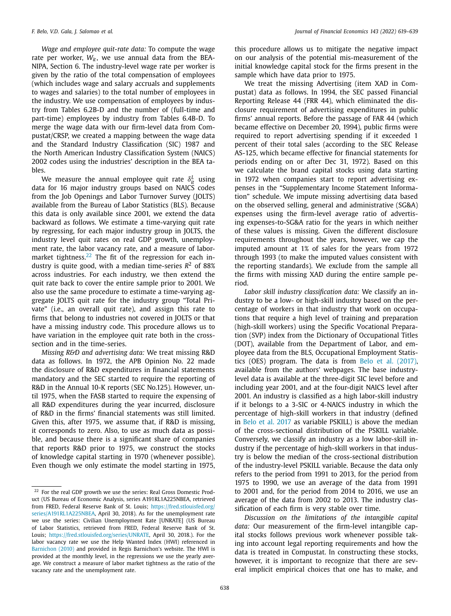*Wage and employee quit-rate data:* To compute the wage rate per worker,  $W_{it}$ , we use annual data from the BEA-NIPA, Section 6. The industry-level wage rate per worker is given by the ratio of the total compensation of employees (which includes wage and salary accruals and supplements to wages and salaries) to the total number of employees in the industry. We use compensation of employees by industry from Tables 6.2B-D and the number of (full-time and part-time) employees by industry from Tables 6.4B-D. To merge the wage data with our firm-level data from Compustat/CRSP, we created a mapping between the wage data and the Standard Industry Classification (SIC) 1987 and the North American Industry Classification System (NAICS) 2002 codes using the industries' description in the BEA tables.

We measure the annual employee quit rate  $\delta_t^L$  using data for 16 major industry groups based on NAICS codes from the Job Openings and Labor Turnover Survey (JOLTS) available from the Bureau of Labor Statistics (BLS). Because this data is only available since 2001, we extend the data backward as follows. We estimate a time-varying quit rate by regressing, for each major industry group in JOLTS, the industry level quit rates on real GDP growth, unemployment rate, the labor vacancy rate, and a measure of labormarket tightness.<sup>22</sup> The fit of the regression for each industry is quite good, with a median time-series  $R^2$  of 88% across industries. For each industry, we then extend the quit rate back to cover the entire sample prior to 2001. We also use the same procedure to estimate a time-varying aggregate JOLTS quit rate for the industry group "Total Private" (i.e., an overall quit rate), and assign this rate to firms that belong to industries not covered in JOLTS or that have a missing industry code. This procedure allows us to have variation in the employee quit rate both in the crosssection and in the time-series.

*Missing R&D and advertising data:* We treat missing R&D data as follows. In 1972, the APB Opinion No. 22 made the disclosure of R&D expenditures in financial statements mandatory and the SEC started to require the reporting of R&D in the Annual 10-K reports (SEC No.125). However, until 1975, when the FASB started to require the expensing of all R&D expenditures during the year incurred, disclosure of R&D in the firms' financial statements was still limited. Given this, after 1975, we assume that, if R&D is missing, it corresponds to zero. Also, to use as much data as possible, and because there is a significant share of companies that reports R&D prior to 1975, we construct the stocks of knowledge capital starting in 1970 (whenever possible). Even though we only estimate the model starting in 1975,

this procedure allows us to mitigate the negative impact on our analysis of the potential mis-measurement of the initial knowledge capital stock for the firms present in the sample which have data prior to 1975.

We treat the missing Advertising (item XAD in Compustat) data as follows. In 1994, the SEC passed Financial Reporting Release 44 (FRR 44), which eliminated the disclosure requirement of advertising expenditures in public firms' annual reports. Before the passage of FAR 44 (which became effective on December 20, 1994), public firms were required to report advertising spending if it exceeded 1 percent of their total sales (according to the SEC Release AS-125, which became effective for financial statements for periods ending on or after Dec 31, 1972). Based on this we calculate the brand capital stocks using data starting in 1972 when companies start to report advertising expenses in the "Supplementary Income Statement Information" schedule. We impute missing advertising data based on the observed selling, general and administrative (SG&A) expenses using the firm-level average ratio of advertising expenses-to-SG&A ratio for the years in which neither of these values is missing. Given the different disclosure requirements throughout the years, however, we cap the imputed amount at 1% of sales for the years from 1972 through 1993 (to make the imputed values consistent with the reporting standards). We exclude from the sample all the firms with missing XAD during the entire sample period.

*Labor skill industry classification data:* We classify an industry to be a low- or high-skill industry based on the percentage of workers in that industry that work on occupations that require a high level of training and preparation (high-skill workers) using the Specific Vocational Preparation (SVP) index from the Dictionary of Occupational Titles (DOT), available from the Department of Labor, and employee data from the BLS, Occupational Employment Statistics (OES) program. The data is from Belo et al. [\(2017\),](#page-20-0) available from the authors' webpages. The base industrylevel data is available at the three-digit SIC level before and including year 2001, and at the four-digit NAICS level after 2001. An industry is classified as a high labor-skill industry if it belongs to a 3-SIC or 4-NAICS industry in which the percentage of high-skill workers in that industry (defined in Belo et al. [2017](#page-20-0) as variable PSKILL) is above the median of the cross-sectional distribution of the PSKILL variable. Conversely, we classify an industry as a low labor-skill industry if the percentage of high-skill workers in that industry is below the median of the cross-sectional distribution of the industry-level PSKILL variable. Because the data only refers to the period from 1991 to 2013, for the period from 1975 to 1990, we use an average of the data from 1991 to 2001 and, for the period from 2014 to 2016, we use an average of the data from 2002 to 2013. The industry classification of each firm is very stable over time.

*Discussion on the limitations of the intangible capital data:* Our measurement of the firm-level intangible capital stocks follows previous work whenever possible taking into account legal reporting requirements and how the data is treated in Compustat. In constructing these stocks, however, it is important to recognize that there are several implicit empirical choices that one has to make, and

<sup>22</sup> For the real GDP growth we use the series: Real Gross Domestic Product (US Bureau of Economic Analysis, series A191RL1A225NBEA, retrieved from FRED, Federal Reserve Bank of St. Louis; https://fred.stlouisfed.org/ [series/A191RL1A225NBEA,](https://fred.stlouisfed.org/series/A191RL1A225NBEA) April 30, 2018). As for the unemployment rate we use the series: Civilian Unemployment Rate [UNRATE] (US Bureau of Labor Statistics, retrieved from FRED, Federal Reserve Bank of St. Louis; [https://fred.stlouisfed.org/series/UNRATE,](https://fred.stlouisfed.org/series/UNRATE) April 30, 2018.). For the labor vacancy rate we use the Help Wanted Index (HWI) referenced in [Barnichon](#page-20-0) (2010) and provided in Regis Barnichon's website. The HWI is provided at the monthly level, in the regressions we use the yearly average. We construct a measure of labor market tightness as the ratio of the vacancy rate and the unemployment rate.